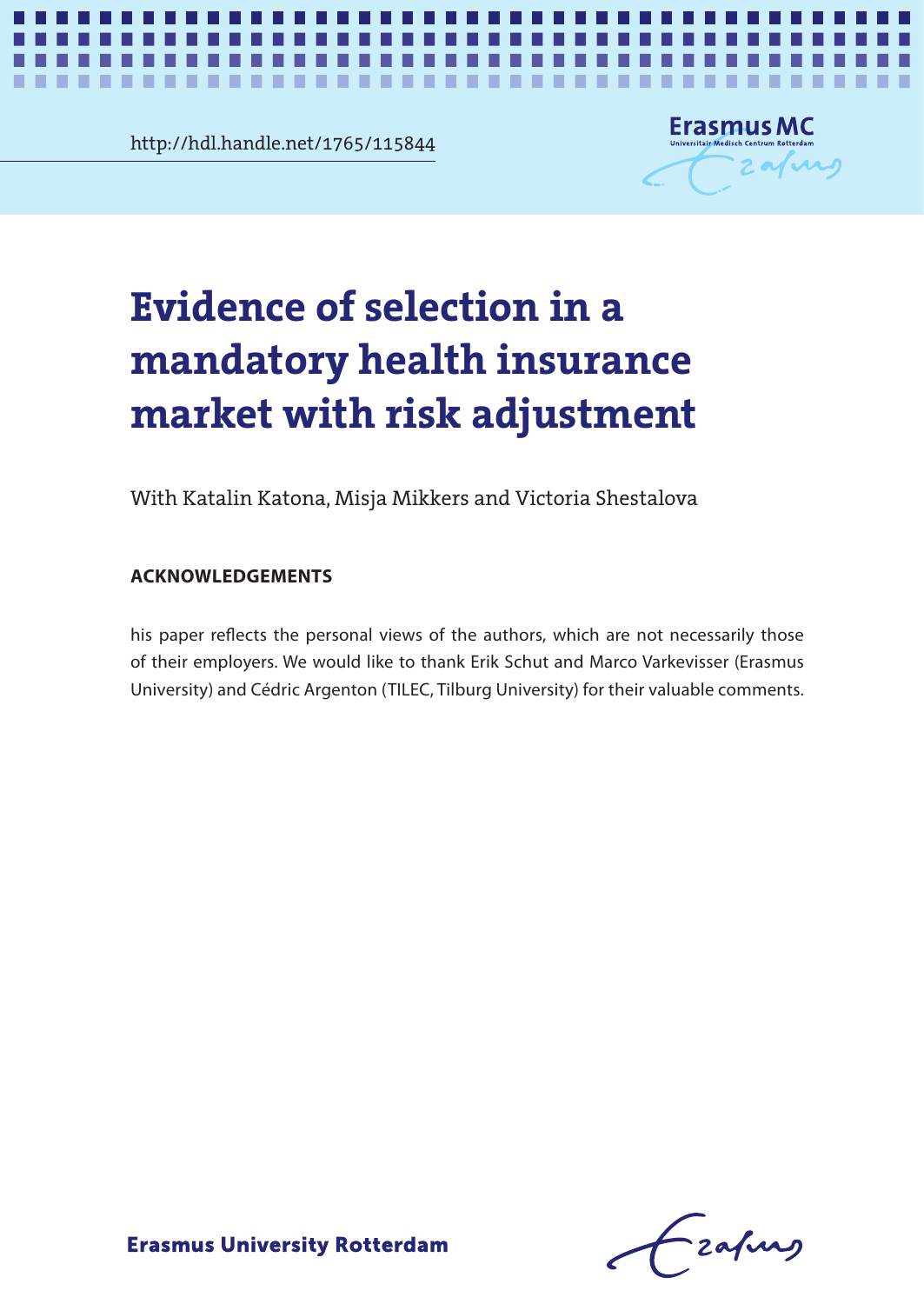**Chapter 5** http://hdl.handle.net/1765/115844



*Evidence of selection in a mandatory health insurance market* **1**

# **Evidence of selection in a** mandatory hoalth incurance andarudren. **mandatory health insurance market with risk adjustment**

With Katalin Katona, Misja Mikkers and Victoria Shestalova

### **ACKNOWLEDGEMENTS**

his paper reflects the personal views of the authors, which are not necessarily those of their employers. We would like to thank Erik Schut and Marco Varkevisser (Erasmus University) and Cédric Argenton (TILEC, Tilburg University) for their valuable comments.

- zafung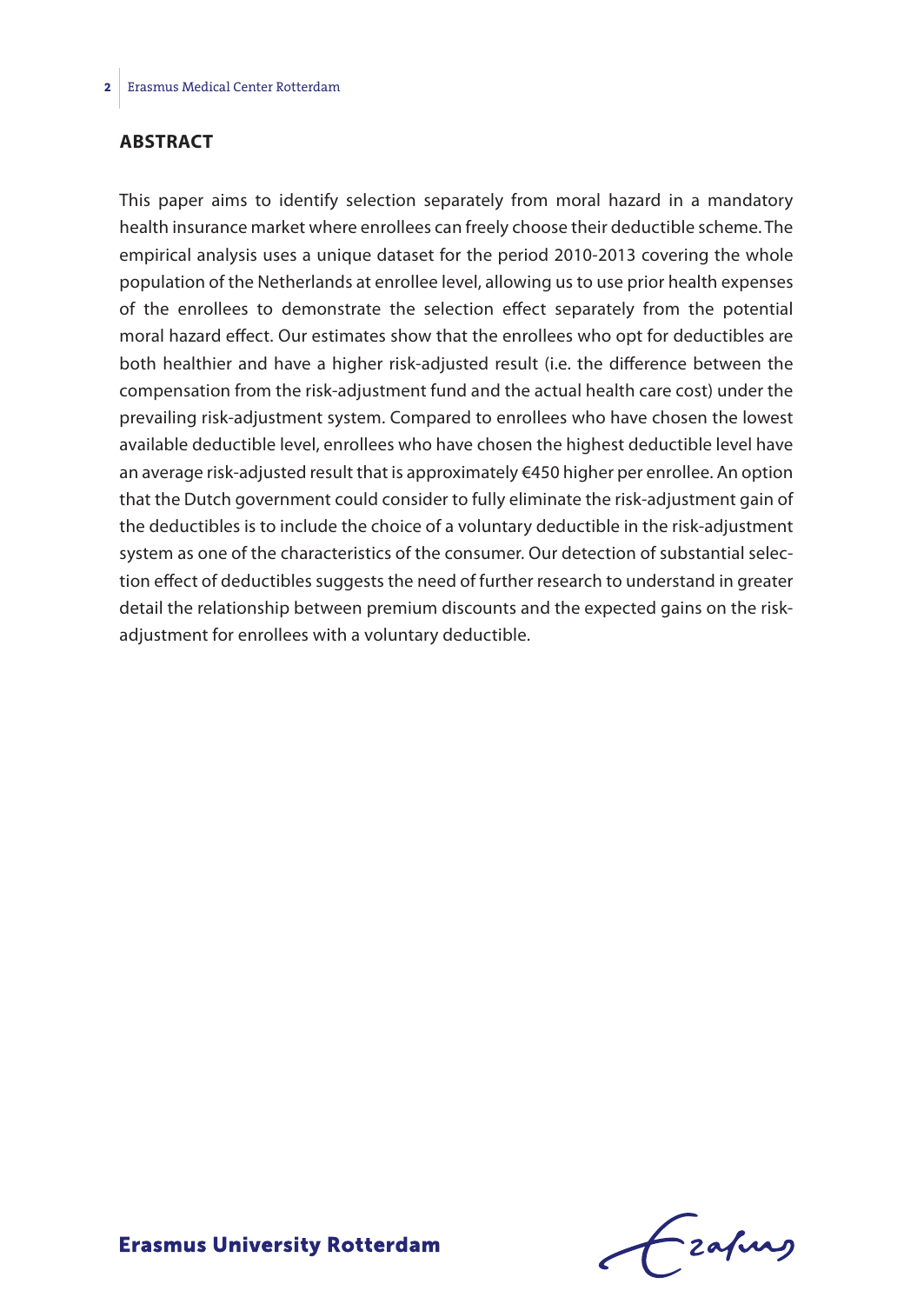#### **ABSTRACT**

This paper aims to identify selection separately from moral hazard in a mandatory health insurance market where enrollees can freely choose their deductible scheme. The empirical analysis uses a unique dataset for the period 2010-2013 covering the whole population of the Netherlands at enrollee level, allowing us to use prior health expenses of the enrollees to demonstrate the selection effect separately from the potential moral hazard effect. Our estimates show that the enrollees who opt for deductibles are both healthier and have a higher risk-adjusted result (i.e. the difference between the compensation from the risk-adjustment fund and the actual health care cost) under the prevailing risk-adjustment system. Compared to enrollees who have chosen the lowest available deductible level, enrollees who have chosen the highest deductible level have an average risk-adjusted result that is approximately €450 higher per enrollee. An option that the Dutch government could consider to fully eliminate the risk-adjustment gain of the deductibles is to include the choice of a voluntary deductible in the risk-adjustment system as one of the characteristics of the consumer. Our detection of substantial selection effect of deductibles suggests the need of further research to understand in greater detail the relationship between premium discounts and the expected gains on the riskadjustment for enrollees with a voluntary deductible.

frafing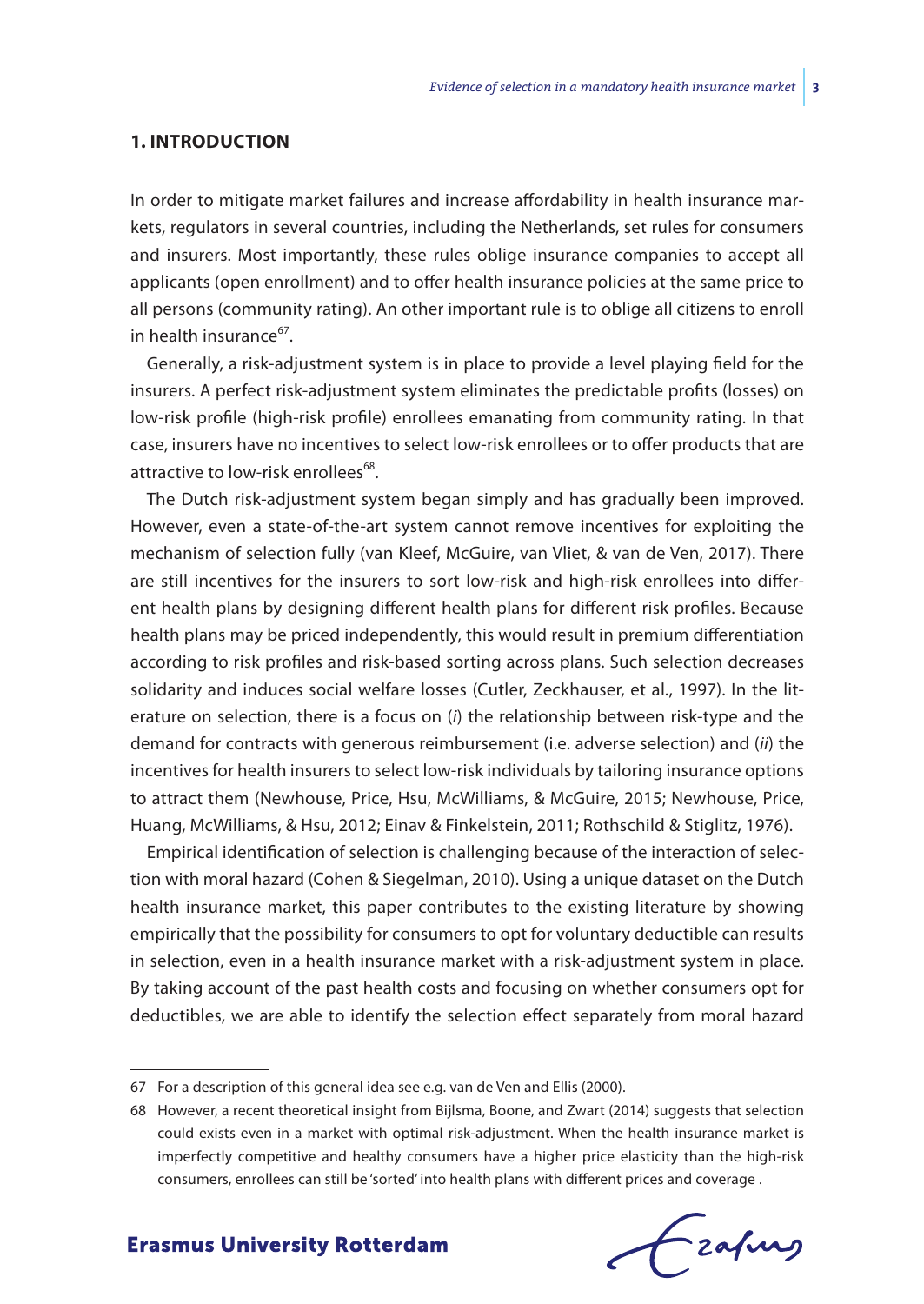#### **1. INTRODUCTION**

In order to mitigate market failures and increase affordability in health insurance markets, regulators in several countries, including the Netherlands, set rules for consumers and insurers. Most importantly, these rules oblige insurance companies to accept all applicants (open enrollment) and to offer health insurance policies at the same price to all persons (community rating). An other important rule is to oblige all citizens to enroll in health insurance<sup>67</sup>.

Generally, a risk-adjustment system is in place to provide a level playing field for the insurers. A perfect risk-adjustment system eliminates the predictable profits (losses) on low-risk profile (high-risk profile) enrollees emanating from community rating. In that case, insurers have no incentives to select low-risk enrollees or to offer products that are attractive to low-risk enrollees<sup>68</sup>.

The Dutch risk-adjustment system began simply and has gradually been improved. However, even a state-of-the-art system cannot remove incentives for exploiting the mechanism of selection fully (van Kleef, McGuire, van Vliet, & van de Ven, 2017). There are still incentives for the insurers to sort low-risk and high-risk enrollees into different health plans by designing different health plans for different risk profiles. Because health plans may be priced independently, this would result in premium differentiation according to risk profiles and risk-based sorting across plans. Such selection decreases solidarity and induces social welfare losses (Cutler, Zeckhauser, et al., 1997). In the literature on selection, there is a focus on (*i*) the relationship between risk-type and the demand for contracts with generous reimbursement (i.e. adverse selection) and (*ii*) the incentives for health insurers to select low-risk individuals by tailoring insurance options to attract them (Newhouse, Price, Hsu, McWilliams, & McGuire, 2015; Newhouse, Price, Huang, McWilliams, & Hsu, 2012; Einav & Finkelstein, 2011; Rothschild & Stiglitz, 1976).

Empirical identification of selection is challenging because of the interaction of selection with moral hazard (Cohen & Siegelman, 2010). Using a unique dataset on the Dutch health insurance market, this paper contributes to the existing literature by showing empirically that the possibility for consumers to opt for voluntary deductible can results in selection, even in a health insurance market with a risk-adjustment system in place. By taking account of the past health costs and focusing on whether consumers opt for deductibles, we are able to identify the selection effect separately from moral hazard

Frahing

<sup>67</sup> For a description of this general idea see e.g. van de Ven and Ellis (2000).

<sup>68</sup> However, a recent theoretical insight from Bijlsma, Boone, and Zwart (2014) suggests that selection could exists even in a market with optimal risk-adjustment. When the health insurance market is imperfectly competitive and healthy consumers have a higher price elasticity than the high-risk consumers, enrollees can still be 'sorted' into health plans with different prices and coverage .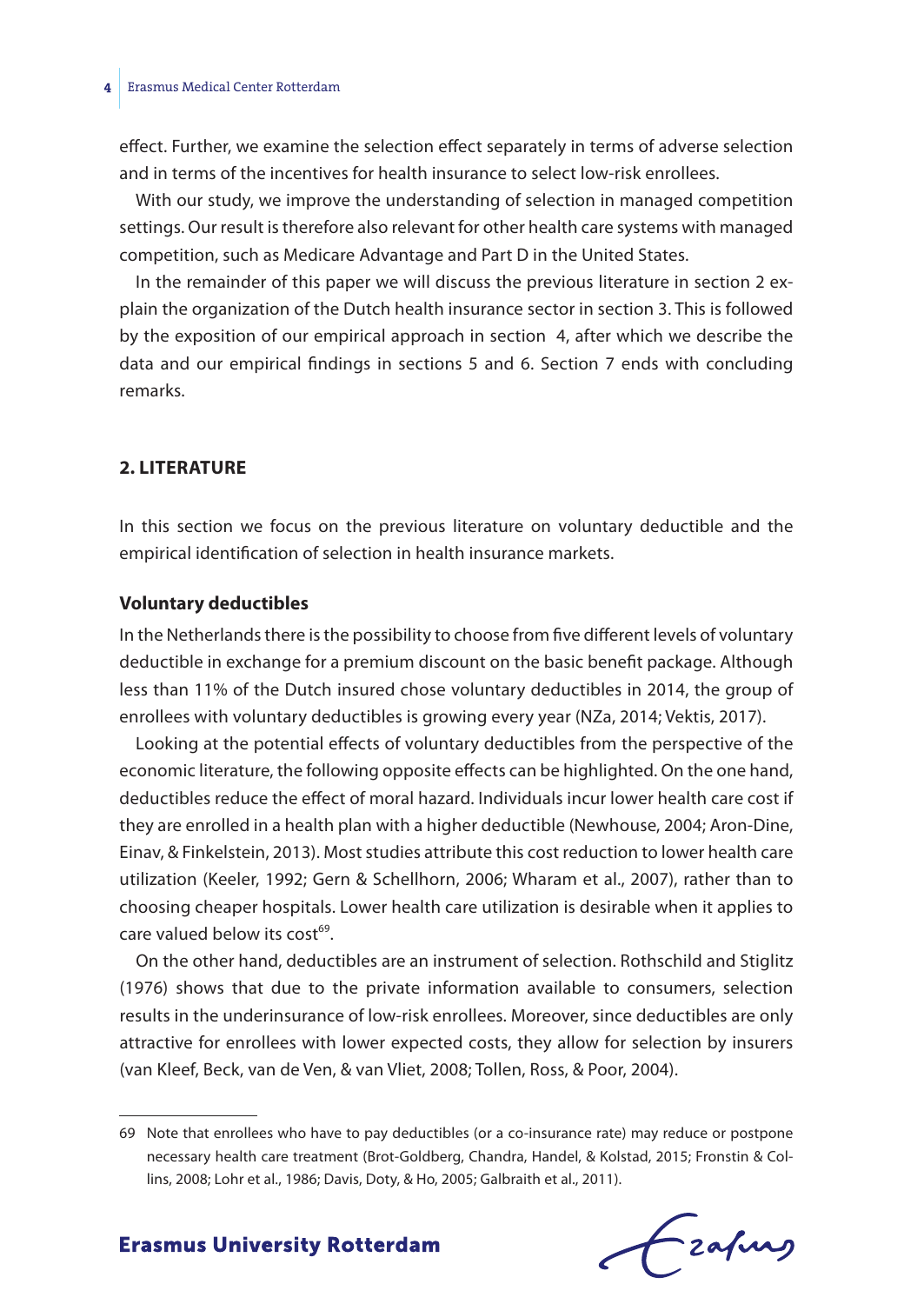effect. Further, we examine the selection effect separately in terms of adverse selection and in terms of the incentives for health insurance to select low-risk enrollees.

With our study, we improve the understanding of selection in managed competition settings. Our result is therefore also relevant for other health care systems with managed competition, such as Medicare Advantage and Part D in the United States.

In the remainder of this paper we will discuss the previous literature in section 2 explain the organization of the Dutch health insurance sector in section 3. This is followed by the exposition of our empirical approach in section 4, after which we describe the data and our empirical findings in sections 5 and 6. Section 7 ends with concluding remarks.

#### **2. LITERATURE**

In this section we focus on the previous literature on voluntary deductible and the empirical identification of selection in health insurance markets.

#### **Voluntary deductibles**

In the Netherlands there is the possibility to choose from five different levels of voluntary deductible in exchange for a premium discount on the basic benefit package. Although less than 11% of the Dutch insured chose voluntary deductibles in 2014, the group of enrollees with voluntary deductibles is growing every year (NZa, 2014; Vektis, 2017).

Looking at the potential effects of voluntary deductibles from the perspective of the economic literature, the following opposite effects can be highlighted. On the one hand, deductibles reduce the effect of moral hazard. Individuals incur lower health care cost if they are enrolled in a health plan with a higher deductible (Newhouse, 2004; Aron-Dine, Einav, & Finkelstein, 2013). Most studies attribute this cost reduction to lower health care utilization (Keeler, 1992; Gern & Schellhorn, 2006; Wharam et al., 2007), rather than to choosing cheaper hospitals. Lower health care utilization is desirable when it applies to care valued below its  $cost^{69}$ .

On the other hand, deductibles are an instrument of selection. Rothschild and Stiglitz (1976) shows that due to the private information available to consumers, selection results in the underinsurance of low-risk enrollees. Moreover, since deductibles are only attractive for enrollees with lower expected costs, they allow for selection by insurers (van Kleef, Beck, van de Ven, & van Vliet, 2008; Tollen, Ross, & Poor, 2004).

frafing

<sup>69</sup> Note that enrollees who have to pay deductibles (or a co-insurance rate) may reduce or postpone necessary health care treatment (Brot-Goldberg, Chandra, Handel, & Kolstad, 2015; Fronstin & Collins, 2008; Lohr et al., 1986; Davis, Doty, & Ho, 2005; Galbraith et al., 2011).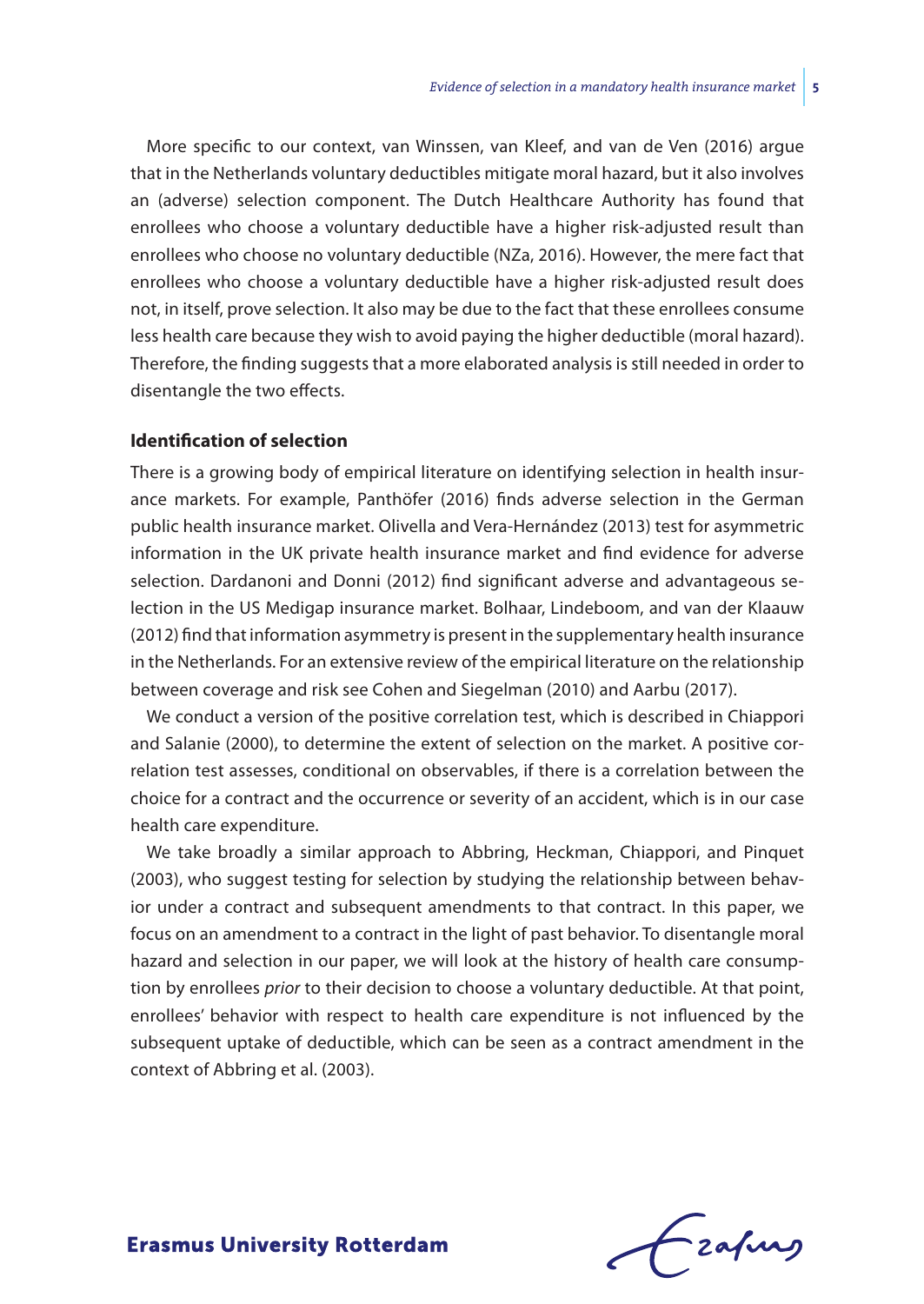More specific to our context, van Winssen, van Kleef, and van de Ven (2016) argue that in the Netherlands voluntary deductibles mitigate moral hazard, but it also involves an (adverse) selection component. The Dutch Healthcare Authority has found that enrollees who choose a voluntary deductible have a higher risk-adjusted result than enrollees who choose no voluntary deductible (NZa, 2016). However, the mere fact that enrollees who choose a voluntary deductible have a higher risk-adjusted result does not, in itself, prove selection. It also may be due to the fact that these enrollees consume less health care because they wish to avoid paying the higher deductible (moral hazard). Therefore, the finding suggests that a more elaborated analysis is still needed in order to disentangle the two effects.

#### **Identification of selection**

There is a growing body of empirical literature on identifying selection in health insurance markets. For example, Panthöfer (2016) finds adverse selection in the German public health insurance market. Olivella and Vera-Hernández (2013) test for asymmetric information in the UK private health insurance market and find evidence for adverse selection. Dardanoni and Donni (2012) find significant adverse and advantageous selection in the US Medigap insurance market. Bolhaar, Lindeboom, and van der Klaauw (2012) find that information asymmetry is present in the supplementary health insurance in the Netherlands. For an extensive review of the empirical literature on the relationship between coverage and risk see Cohen and Siegelman (2010) and Aarbu (2017).

We conduct a version of the positive correlation test, which is described in Chiappori and Salanie (2000), to determine the extent of selection on the market. A positive correlation test assesses, conditional on observables, if there is a correlation between the choice for a contract and the occurrence or severity of an accident, which is in our case health care expenditure.

We take broadly a similar approach to Abbring, Heckman, Chiappori, and Pinquet (2003), who suggest testing for selection by studying the relationship between behavior under a contract and subsequent amendments to that contract. In this paper, we focus on an amendment to a contract in the light of past behavior. To disentangle moral hazard and selection in our paper, we will look at the history of health care consumption by enrollees *prior* to their decision to choose a voluntary deductible. At that point, enrollees' behavior with respect to health care expenditure is not influenced by the subsequent uptake of deductible, which can be seen as a contract amendment in the context of Abbring et al. (2003).

Frahing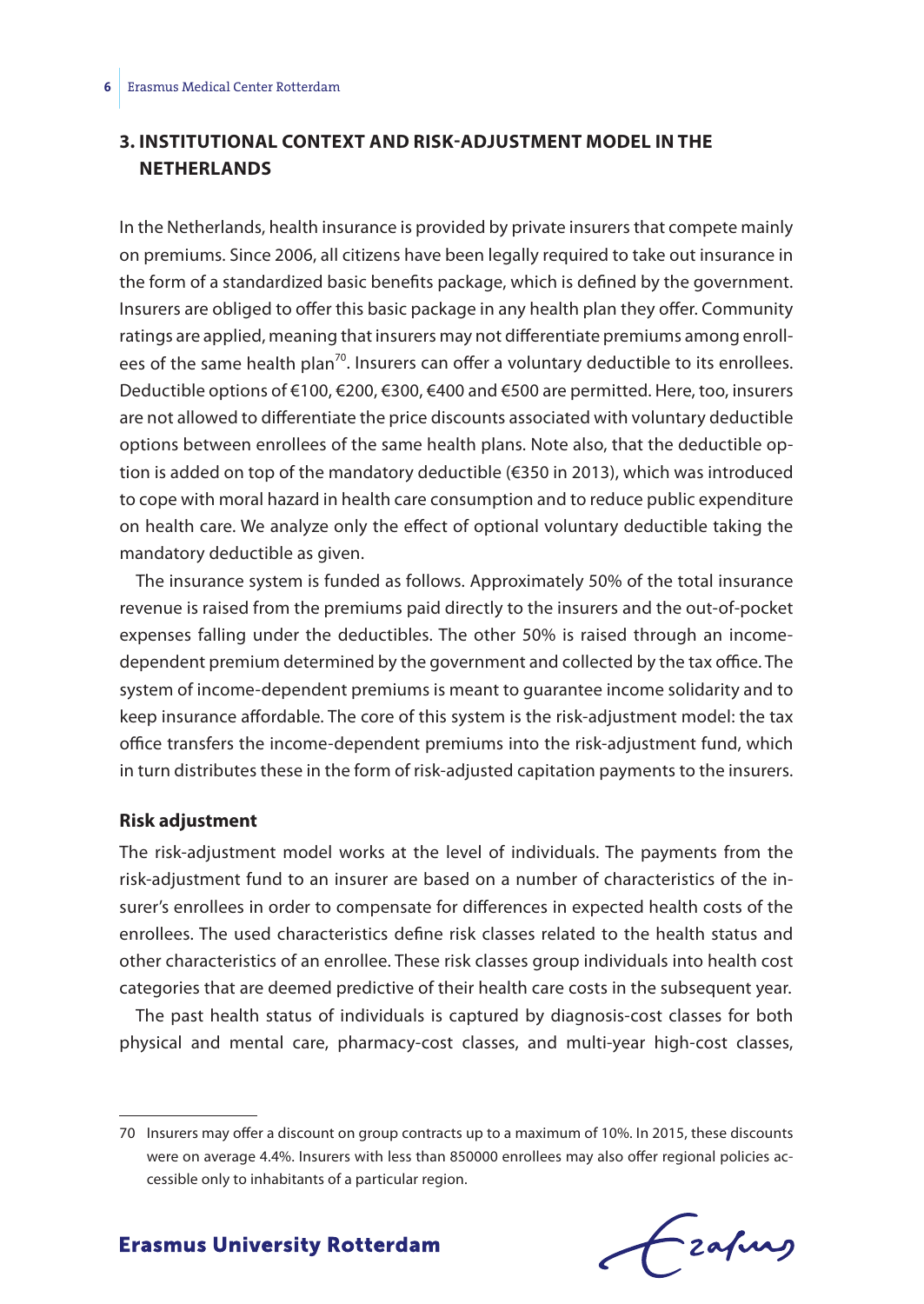# **3. INSTITUTIONAL CONTEXT AND RISK-ADJUSTMENT MODEL IN THE NETHERLANDS**

In the Netherlands, health insurance is provided by private insurers that compete mainly on premiums. Since 2006, all citizens have been legally required to take out insurance in the form of a standardized basic benefits package, which is defined by the government. Insurers are obliged to offer this basic package in any health plan they offer. Community ratings are applied, meaning that insurers may not differentiate premiums among enrollees of the same health plan<sup>70</sup>. Insurers can offer a voluntary deductible to its enrollees. Deductible options of €100, €200, €300, €400 and €500 are permitted. Here, too, insurers are not allowed to differentiate the price discounts associated with voluntary deductible options between enrollees of the same health plans. Note also, that the deductible option is added on top of the mandatory deductible (€350 in 2013), which was introduced to cope with moral hazard in health care consumption and to reduce public expenditure on health care. We analyze only the effect of optional voluntary deductible taking the mandatory deductible as given.

The insurance system is funded as follows. Approximately 50% of the total insurance revenue is raised from the premiums paid directly to the insurers and the out-of-pocket expenses falling under the deductibles. The other 50% is raised through an incomedependent premium determined by the government and collected by the tax office. The system of income-dependent premiums is meant to guarantee income solidarity and to keep insurance affordable. The core of this system is the risk-adjustment model: the tax office transfers the income-dependent premiums into the risk-adjustment fund, which in turn distributes these in the form of risk-adjusted capitation payments to the insurers.

#### **Risk adjustment**

The risk-adjustment model works at the level of individuals. The payments from the risk-adjustment fund to an insurer are based on a number of characteristics of the insurer's enrollees in order to compensate for differences in expected health costs of the enrollees. The used characteristics define risk classes related to the health status and other characteristics of an enrollee. These risk classes group individuals into health cost categories that are deemed predictive of their health care costs in the subsequent year.

The past health status of individuals is captured by diagnosis-cost classes for both physical and mental care, pharmacy-cost classes, and multi-year high-cost classes,

<sup>70</sup> Insurers may offer a discount on group contracts up to a maximum of 10%. In 2015, these discounts were on average 4.4%. Insurers with less than 850000 enrollees may also offer regional policies accessible only to inhabitants of a particular region.

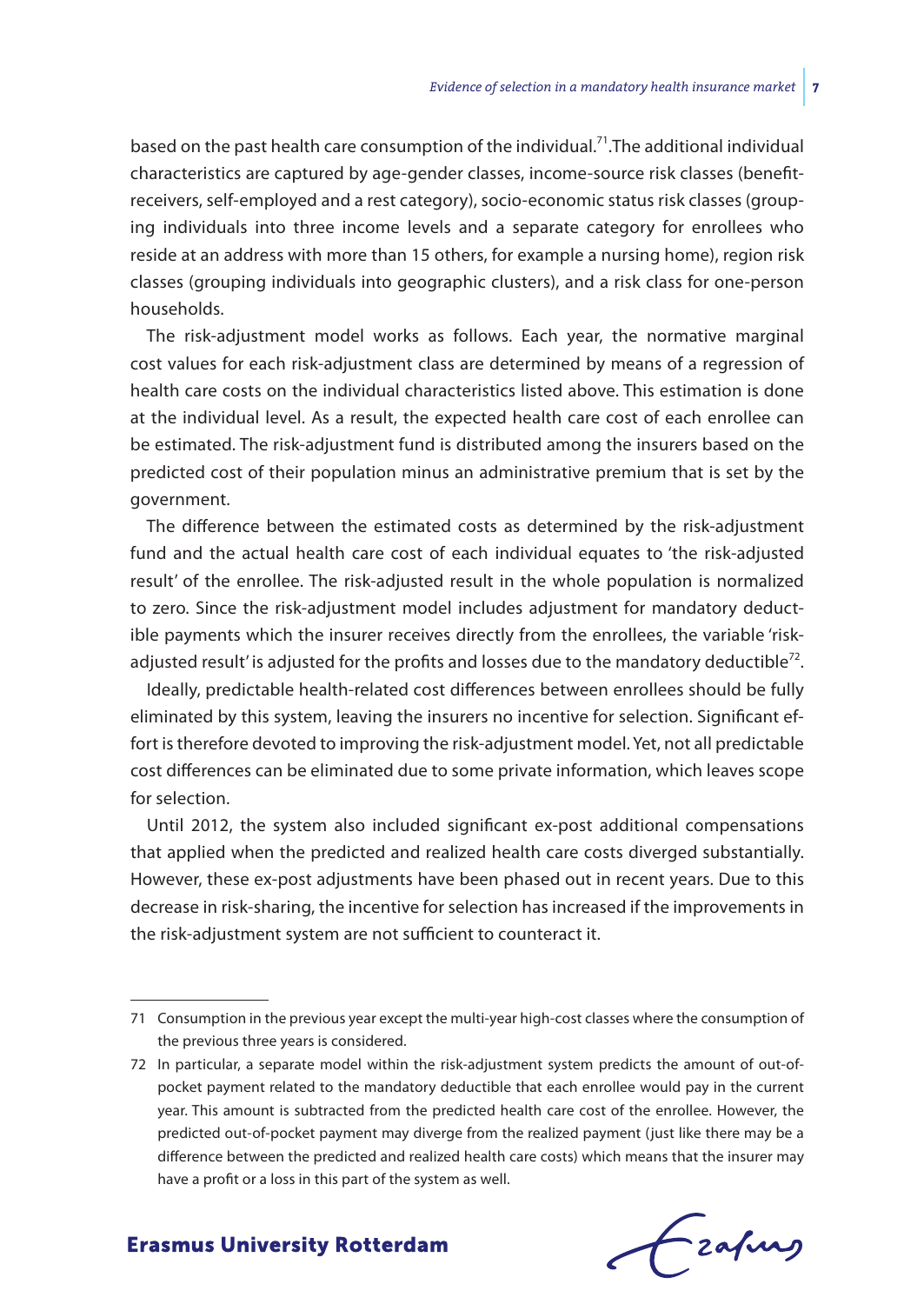based on the past health care consumption of the individual.<sup>71</sup>. The additional individual characteristics are captured by age-gender classes, income-source risk classes (benefitreceivers, self-employed and a rest category), socio-economic status risk classes (grouping individuals into three income levels and a separate category for enrollees who reside at an address with more than 15 others, for example a nursing home), region risk classes (grouping individuals into geographic clusters), and a risk class for one-person households.

The risk-adjustment model works as follows. Each year, the normative marginal cost values for each risk-adjustment class are determined by means of a regression of health care costs on the individual characteristics listed above. This estimation is done at the individual level. As a result, the expected health care cost of each enrollee can be estimated. The risk-adjustment fund is distributed among the insurers based on the predicted cost of their population minus an administrative premium that is set by the government.

The difference between the estimated costs as determined by the risk-adjustment fund and the actual health care cost of each individual equates to 'the risk-adjusted result' of the enrollee. The risk-adjusted result in the whole population is normalized to zero. Since the risk-adjustment model includes adjustment for mandatory deductible payments which the insurer receives directly from the enrollees, the variable 'riskadjusted result' is adjusted for the profits and losses due to the mandatory deductible<sup>72</sup>.

Ideally, predictable health-related cost differences between enrollees should be fully eliminated by this system, leaving the insurers no incentive for selection. Significant effort is therefore devoted to improving the risk-adjustment model. Yet, not all predictable cost differences can be eliminated due to some private information, which leaves scope for selection.

Until 2012, the system also included significant ex-post additional compensations that applied when the predicted and realized health care costs diverged substantially. However, these ex-post adjustments have been phased out in recent years. Due to this decrease in risk-sharing, the incentive for selection has increased if the improvements in the risk-adjustment system are not sufficient to counteract it.

<sup>72</sup> In particular, a separate model within the risk-adjustment system predicts the amount of out-ofpocket payment related to the mandatory deductible that each enrollee would pay in the current year. This amount is subtracted from the predicted health care cost of the enrollee. However, the predicted out-of-pocket payment may diverge from the realized payment (just like there may be a difference between the predicted and realized health care costs) which means that the insurer may have a profit or a loss in this part of the system as well.



<sup>71</sup> Consumption in the previous year except the multi-year high-cost classes where the consumption of the previous three years is considered.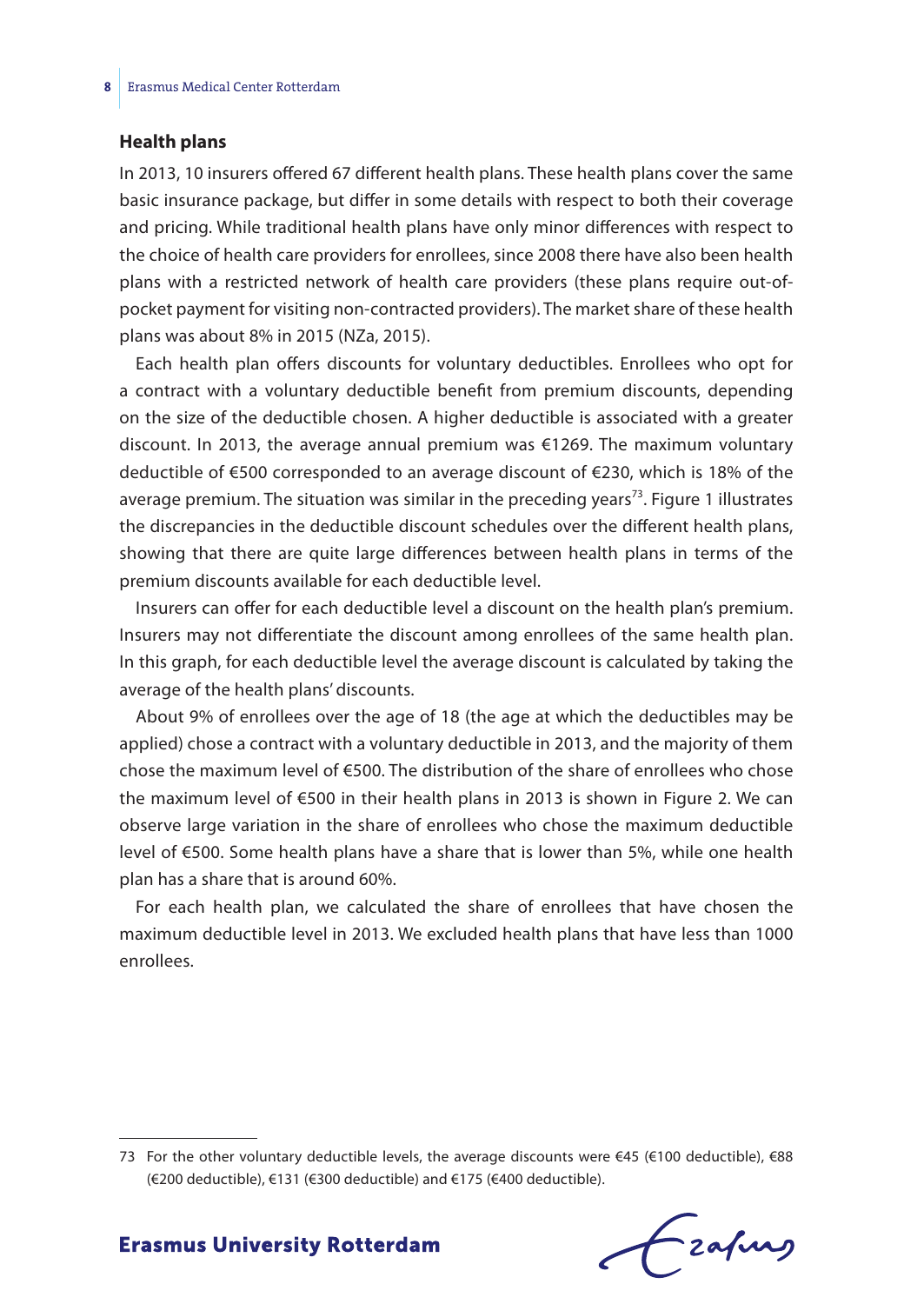#### **Health plans**

In 2013, 10 insurers offered 67 different health plans. These health plans cover the same basic insurance package, but differ in some details with respect to both their coverage and pricing. While traditional health plans have only minor differences with respect to the choice of health care providers for enrollees, since 2008 there have also been health plans with a restricted network of health care providers (these plans require out-ofpocket payment for visiting non-contracted providers). The market share of these health plans was about 8% in 2015 (NZa, 2015).

Each health plan offers discounts for voluntary deductibles. Enrollees who opt for a contract with a voluntary deductible benefit from premium discounts, depending on the size of the deductible chosen. A higher deductible is associated with a greater discount. In 2013, the average annual premium was €1269. The maximum voluntary deductible of €500 corresponded to an average discount of €230, which is 18% of the average premium. The situation was similar in the preceding years<sup>73</sup>. Figure 1 illustrates the discrepancies in the deductible discount schedules over the different health plans, showing that there are quite large differences between health plans in terms of the premium discounts available for each deductible level.

Insurers can offer for each deductible level a discount on the health plan's premium. Insurers may not differentiate the discount among enrollees of the same health plan. In this graph, for each deductible level the average discount is calculated by taking the average of the health plans' discounts.

About 9% of enrollees over the age of 18 (the age at which the deductibles may be applied) chose a contract with a voluntary deductible in 2013, and the majority of them chose the maximum level of €500. The distribution of the share of enrollees who chose the maximum level of €500 in their health plans in 2013 is shown in Figure 2. We can observe large variation in the share of enrollees who chose the maximum deductible level of €500. Some health plans have a share that is lower than 5%, while one health plan has a share that is around 60%.

For each health plan, we calculated the share of enrollees that have chosen the maximum deductible level in 2013. We excluded health plans that have less than 1000 enrollees.

frafing

<sup>73</sup> For the other voluntary deductible levels, the average discounts were €45 (€100 deductible), €88 (€200 deductible), €131 (€300 deductible) and €175 (€400 deductible).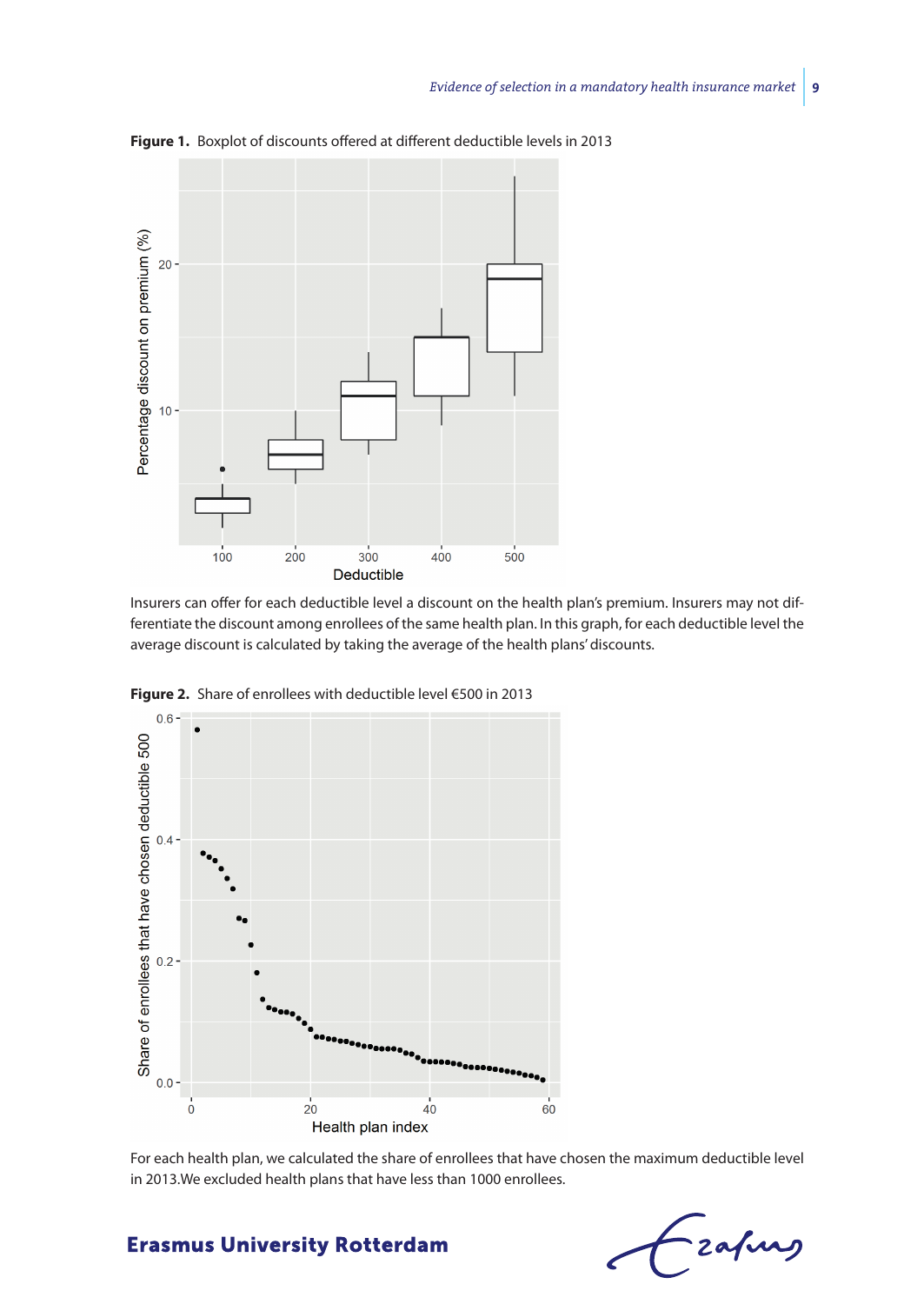

**Figure 1.** Boxplot of discounts offered at different deductible levels in 2013

Insurers can offer for each deductible level a discount on the health plan's premium. Insurers may not differentiate the discount among enrollees of the same health plan. In this graph, for each deductible level the average discount is calculated by taking the average of the health plans' discounts.



**Figure 2.** Share of enrollees with deductible level €500 in 2013

For each health plan, we calculated the share of enrollees that have chosen the maximum deductible level in 2013.We excluded health plans that have less than 1000 enrollees.

Frahing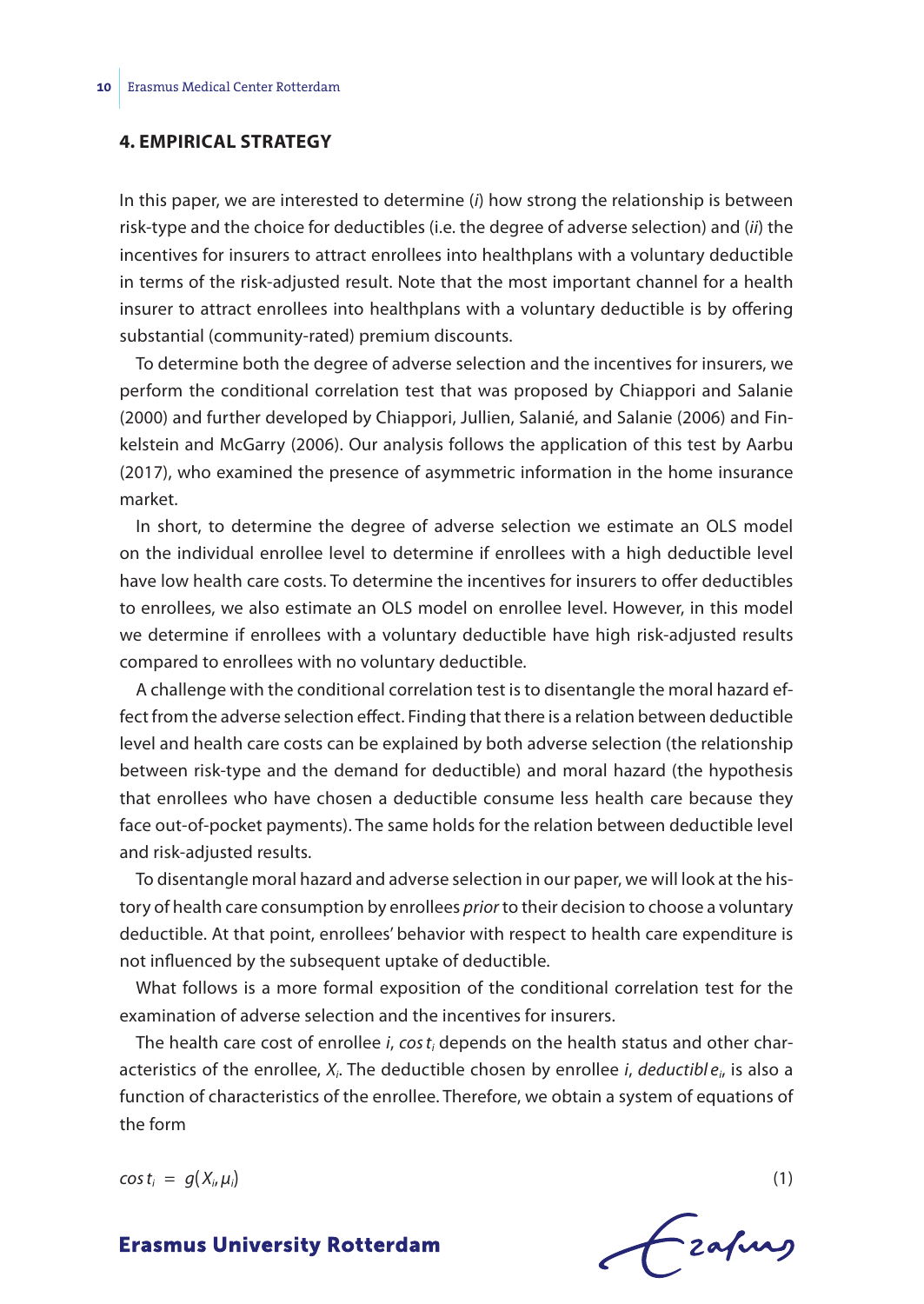#### **4. EMPIRICAL STRATEGY**

In this paper, we are interested to determine (*i*) how strong the relationship is between risk-type and the choice for deductibles (i.e. the degree of adverse selection) and (*ii*) the incentives for insurers to attract enrollees into healthplans with a voluntary deductible in terms of the risk-adjusted result. Note that the most important channel for a health insurer to attract enrollees into healthplans with a voluntary deductible is by offering substantial (community-rated) premium discounts.

To determine both the degree of adverse selection and the incentives for insurers, we perform the conditional correlation test that was proposed by Chiappori and Salanie (2000) and further developed by Chiappori, Jullien, Salanié, and Salanie (2006) and Finkelstein and McGarry (2006). Our analysis follows the application of this test by Aarbu (2017), who examined the presence of asymmetric information in the home insurance market.

In short, to determine the degree of adverse selection we estimate an OLS model on the individual enrollee level to determine if enrollees with a high deductible level have low health care costs. To determine the incentives for insurers to offer deductibles to enrollees, we also estimate an OLS model on enrollee level. However, in this model we determine if enrollees with a voluntary deductible have high risk-adjusted results compared to enrollees with no voluntary deductible.

A challenge with the conditional correlation test is to disentangle the moral hazard effect from the adverse selection effect. Finding that there is a relation between deductible level and health care costs can be explained by both adverse selection (the relationship between risk-type and the demand for deductible) and moral hazard (the hypothesis that enrollees who have chosen a deductible consume less health care because they face out-of-pocket payments). The same holds for the relation between deductible level and risk-adjusted results.

To disentangle moral hazard and adverse selection in our paper, we will look at the history of health care consumption by enrollees *prior* to their decision to choose a voluntary deductible. At that point, enrollees' behavior with respect to health care expenditure is not influenced by the subsequent uptake of deductible.

What follows is a more formal exposition of the conditional correlation test for the examination of adverse selection and the incentives for insurers.

The health care cost of enrollee *i*, *cos ti* depends on the health status and other characteristics of the enrollee, *Xi*. The deductible chosen by enrollee *i*, *deductibl ei*, is also a function of characteristics of the enrollee. Therefore, we obtain a system of equations of the form

 $\cos t_i = g(X_i, \mu_i)$  (1)

Fzafung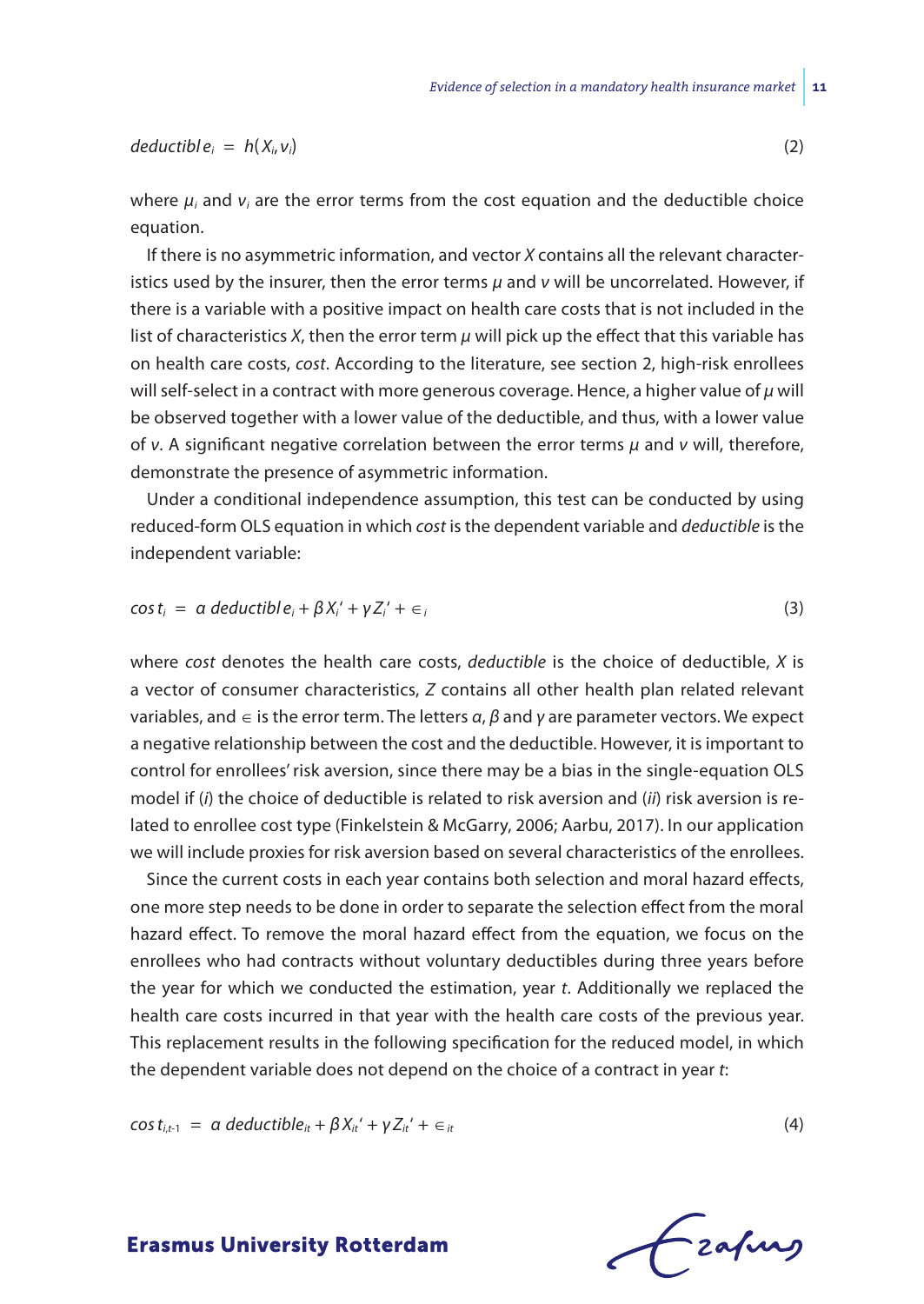$deductible_i = h(X_i, v_i)$  (2)

where  $\mu_i$  and  $\nu_i$  are the error terms from the cost equation and the deductible choice equation.

If there is no asymmetric information, and vector *X* contains all the relevant characteristics used by the insurer, then the error terms *μ* and *ν* will be uncorrelated. However, if there is a variable with a positive impact on health care costs that is not included in the list of characteristics *X*, then the error term *μ* will pick up the effect that this variable has on health care costs, *cost*. According to the literature, see section 2, high-risk enrollees will self-select in a contract with more generous coverage. Hence, a higher value of *μ* will be observed together with a lower value of the deductible, and thus, with a lower value of *ν*. A significant negative correlation between the error terms *μ* and *ν* will, therefore, demonstrate the presence of asymmetric information.

Under a conditional independence assumption, this test can be conducted by using reduced-form OLS equation in which *cost* is the dependent variable and *deductible* is the independent variable:

$$
\cos t_i = \alpha \, \text{deductible}_i + \beta X_i' + \gamma Z_i' + \epsilon_i \tag{3}
$$

where *cost* denotes the health care costs, *deductible* is the choice of deductible, *X* is a vector of consumer characteristics, *Z* contains all other health plan related relevant variables, and ∈ is the error term. The letters *α*, *β* and *γ* are parameter vectors. We expect a negative relationship between the cost and the deductible. However, it is important to control for enrollees' risk aversion, since there may be a bias in the single-equation OLS model if (*i*) the choice of deductible is related to risk aversion and (*ii*) risk aversion is related to enrollee cost type (Finkelstein & McGarry, 2006; Aarbu, 2017). In our application we will include proxies for risk aversion based on several characteristics of the enrollees.

Since the current costs in each year contains both selection and moral hazard effects, one more step needs to be done in order to separate the selection effect from the moral hazard effect. To remove the moral hazard effect from the equation, we focus on the enrollees who had contracts without voluntary deductibles during three years before the year for which we conducted the estimation, year *t*. Additionally we replaced the health care costs incurred in that year with the health care costs of the previous year. This replacement results in the following specification for the reduced model, in which the dependent variable does not depend on the choice of a contract in year *t*:

$$
\cos t_{i,t-1} = \alpha \, \text{deductible}_{it} + \beta X_{it} + \gamma Z_{it} + \epsilon_{it} \tag{4}
$$

-zafurs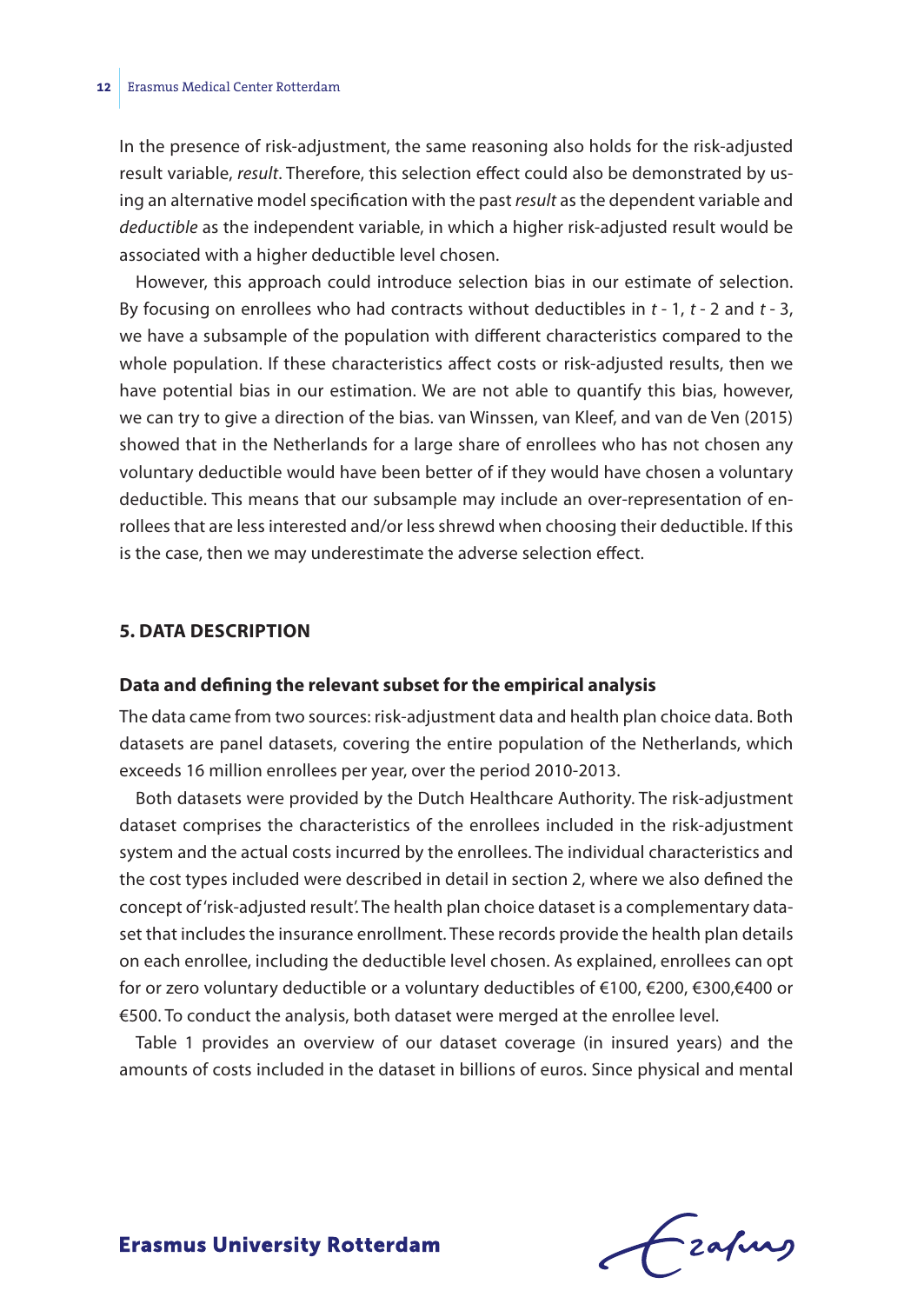In the presence of risk-adjustment, the same reasoning also holds for the risk-adjusted result variable, *result*. Therefore, this selection effect could also be demonstrated by using an alternative model specification with the past *result* as the dependent variable and *deductible* as the independent variable, in which a higher risk-adjusted result would be associated with a higher deductible level chosen.

However, this approach could introduce selection bias in our estimate of selection. By focusing on enrollees who had contracts without deductibles in *t* - 1, *t* - 2 and *t* - 3, we have a subsample of the population with different characteristics compared to the whole population. If these characteristics affect costs or risk-adjusted results, then we have potential bias in our estimation. We are not able to quantify this bias, however, we can try to give a direction of the bias. van Winssen, van Kleef, and van de Ven (2015) showed that in the Netherlands for a large share of enrollees who has not chosen any voluntary deductible would have been better of if they would have chosen a voluntary deductible. This means that our subsample may include an over-representation of enrollees that are less interested and/or less shrewd when choosing their deductible. If this is the case, then we may underestimate the adverse selection effect.

#### **5. DATA DESCRIPTION**

#### **Data and defining the relevant subset for the empirical analysis**

The data came from two sources: risk-adjustment data and health plan choice data. Both datasets are panel datasets, covering the entire population of the Netherlands, which exceeds 16 million enrollees per year, over the period 2010-2013.

Both datasets were provided by the Dutch Healthcare Authority. The risk-adjustment dataset comprises the characteristics of the enrollees included in the risk-adjustment system and the actual costs incurred by the enrollees. The individual characteristics and the cost types included were described in detail in section 2, where we also defined the concept of 'risk-adjusted result'. The health plan choice dataset is a complementary dataset that includes the insurance enrollment. These records provide the health plan details on each enrollee, including the deductible level chosen. As explained, enrollees can opt for or zero voluntary deductible or a voluntary deductibles of €100, €200, €300,€400 or €500. To conduct the analysis, both dataset were merged at the enrollee level.

Table 1 provides an overview of our dataset coverage (in insured years) and the amounts of costs included in the dataset in billions of euros. Since physical and mental

Frafing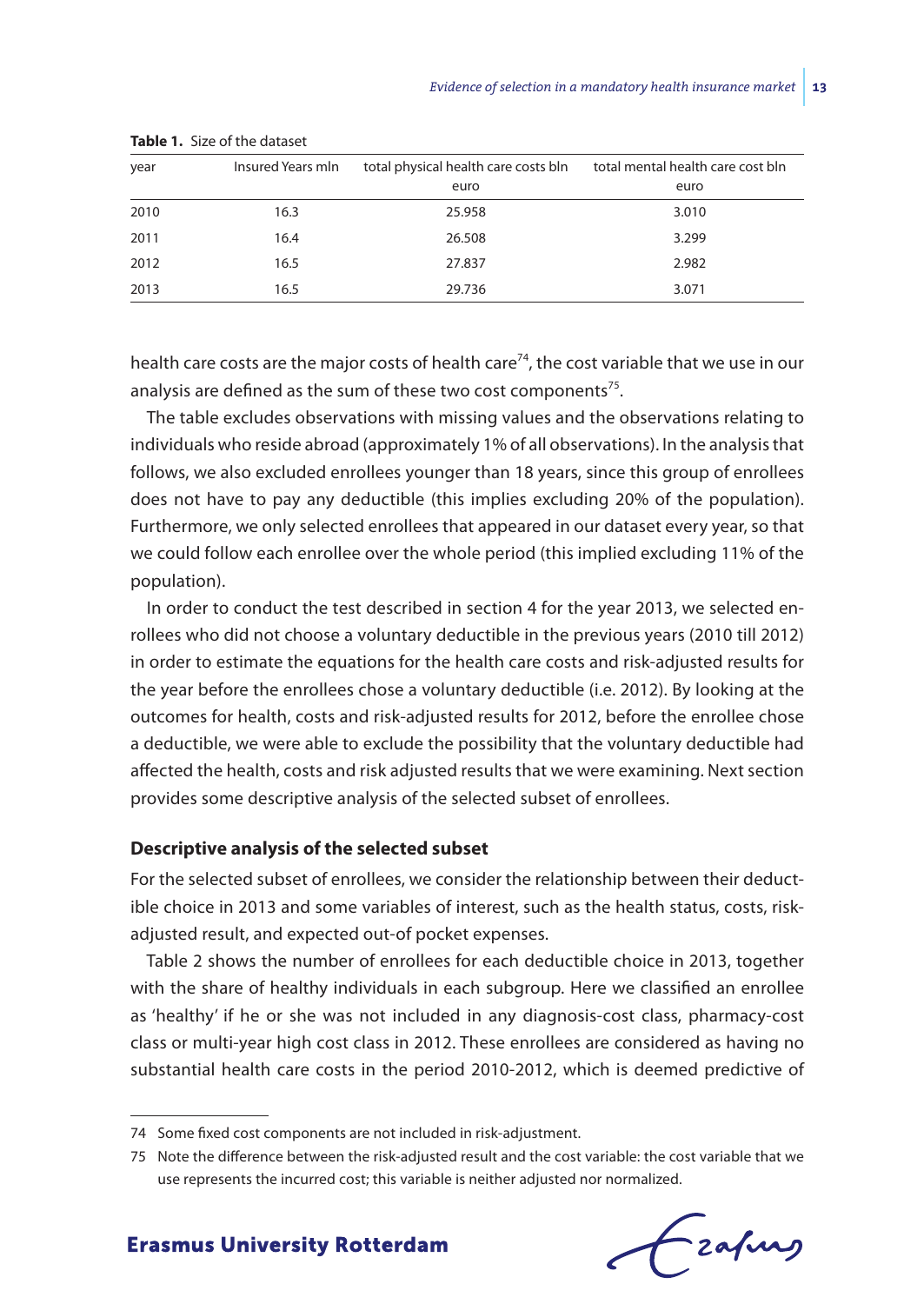| year | Insured Years mln | total physical health care costs bln | total mental health care cost bln |
|------|-------------------|--------------------------------------|-----------------------------------|
|      |                   | euro                                 | euro                              |
| 2010 | 16.3              | 25.958                               | 3.010                             |
| 2011 | 16.4              | 26.508                               | 3.299                             |
| 2012 | 16.5              | 27.837                               | 2.982                             |
| 2013 | 16.5              | 29.736                               | 3.071                             |

**Table 1.** Size of the dataset

health care costs are the major costs of health care<sup>74</sup>, the cost variable that we use in our analysis are defined as the sum of these two cost components<sup>75</sup>.

The table excludes observations with missing values and the observations relating to individuals who reside abroad (approximately 1% of all observations). In the analysis that follows, we also excluded enrollees younger than 18 years, since this group of enrollees does not have to pay any deductible (this implies excluding 20% of the population). Furthermore, we only selected enrollees that appeared in our dataset every year, so that we could follow each enrollee over the whole period (this implied excluding 11% of the population).

In order to conduct the test described in section 4 for the year 2013, we selected enrollees who did not choose a voluntary deductible in the previous years (2010 till 2012) in order to estimate the equations for the health care costs and risk-adjusted results for the year before the enrollees chose a voluntary deductible (i.e. 2012). By looking at the outcomes for health, costs and risk-adjusted results for 2012, before the enrollee chose a deductible, we were able to exclude the possibility that the voluntary deductible had affected the health, costs and risk adjusted results that we were examining. Next section provides some descriptive analysis of the selected subset of enrollees.

#### **Descriptive analysis of the selected subset**

For the selected subset of enrollees, we consider the relationship between their deductible choice in 2013 and some variables of interest, such as the health status, costs, riskadjusted result, and expected out-of pocket expenses.

Table 2 shows the number of enrollees for each deductible choice in 2013, together with the share of healthy individuals in each subgroup. Here we classified an enrollee as 'healthy' if he or she was not included in any diagnosis-cost class, pharmacy-cost class or multi-year high cost class in 2012. These enrollees are considered as having no substantial health care costs in the period 2010-2012, which is deemed predictive of

<sup>75</sup> Note the difference between the risk-adjusted result and the cost variable: the cost variable that we use represents the incurred cost; this variable is neither adjusted nor normalized.



<sup>74</sup> Some fixed cost components are not included in risk-adjustment.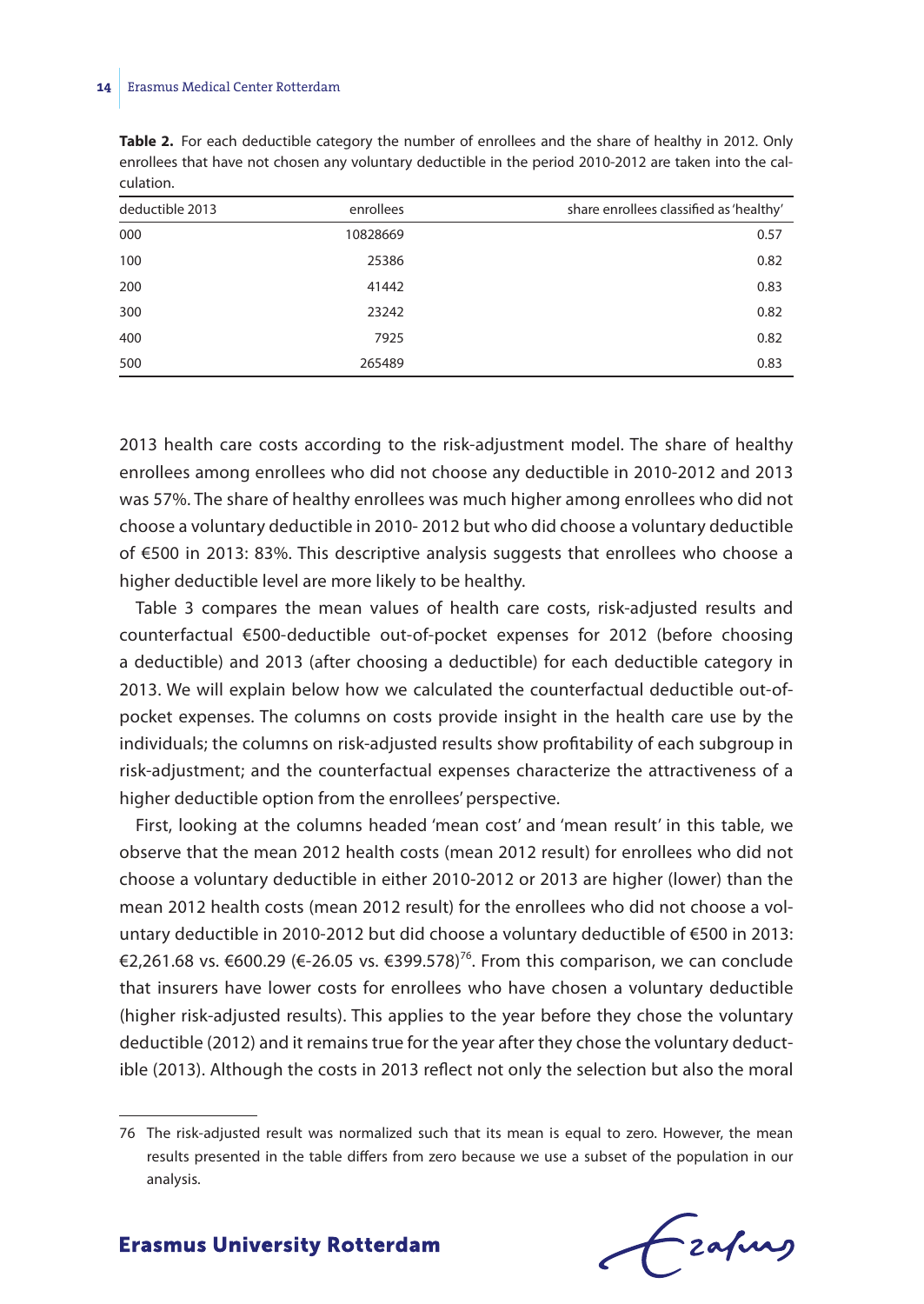#### **14** Erasmus Medical Center Rotterdam

**Table 2.** For each deductible category the number of enrollees and the share of healthy in 2012. Only enrollees that have not chosen any voluntary deductible in the period 2010-2012 are taken into the calculation.

| deductible 2013 | enrollees | share enrollees classified as 'healthy' |
|-----------------|-----------|-----------------------------------------|
| 000             | 10828669  | 0.57                                    |
| 100             | 25386     | 0.82                                    |
| 200             | 41442     | 0.83                                    |
| 300             | 23242     | 0.82                                    |
| 400             | 7925      | 0.82                                    |
| 500             | 265489    | 0.83                                    |

2013 health care costs according to the risk-adjustment model. The share of healthy enrollees among enrollees who did not choose any deductible in 2010-2012 and 2013 was 57%. The share of healthy enrollees was much higher among enrollees who did not choose a voluntary deductible in 2010- 2012 but who did choose a voluntary deductible of €500 in 2013: 83%. This descriptive analysis suggests that enrollees who choose a higher deductible level are more likely to be healthy.

Table 3 compares the mean values of health care costs, risk-adjusted results and counterfactual €500-deductible out-of-pocket expenses for 2012 (before choosing a deductible) and 2013 (after choosing a deductible) for each deductible category in 2013. We will explain below how we calculated the counterfactual deductible out-ofpocket expenses. The columns on costs provide insight in the health care use by the individuals; the columns on risk-adjusted results show profitability of each subgroup in risk-adjustment; and the counterfactual expenses characterize the attractiveness of a higher deductible option from the enrollees' perspective.

First, looking at the columns headed 'mean cost' and 'mean result' in this table, we observe that the mean 2012 health costs (mean 2012 result) for enrollees who did not choose a voluntary deductible in either 2010-2012 or 2013 are higher (lower) than the mean 2012 health costs (mean 2012 result) for the enrollees who did not choose a voluntary deductible in 2010-2012 but did choose a voluntary deductible of €500 in 2013: €2,261.68 vs. €600.29 (€-26.05 vs. €399.578)<sup>76</sup>. From this comparison, we can conclude that insurers have lower costs for enrollees who have chosen a voluntary deductible (higher risk-adjusted results). This applies to the year before they chose the voluntary deductible (2012) and it remains true for the year after they chose the voluntary deductible (2013). Although the costs in 2013 reflect not only the selection but also the moral

fzafung

<sup>76</sup> The risk-adjusted result was normalized such that its mean is equal to zero. However, the mean results presented in the table differs from zero because we use a subset of the population in our analysis.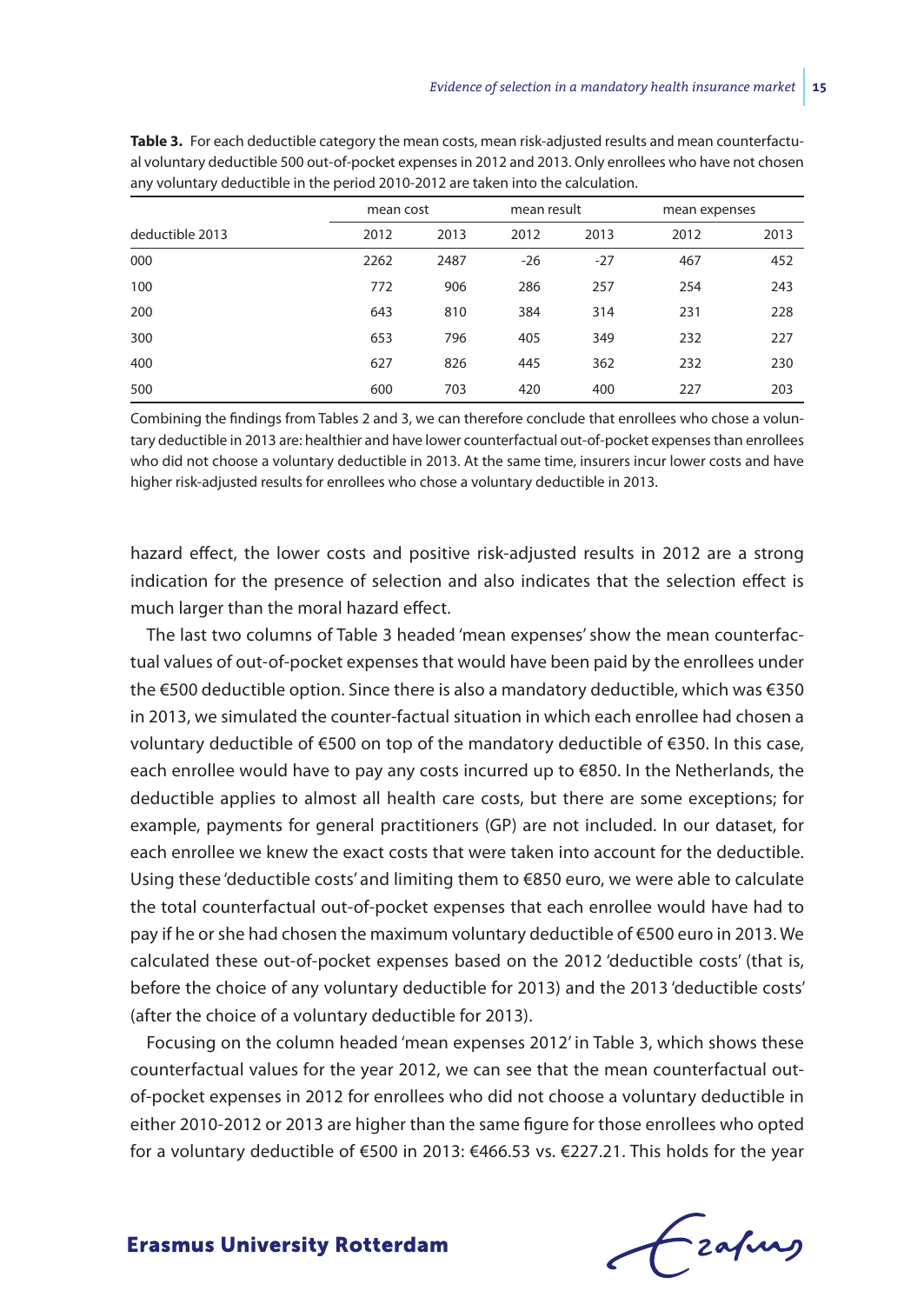|                 | mean cost |      | mean result |       | mean expenses |      |
|-----------------|-----------|------|-------------|-------|---------------|------|
| deductible 2013 | 2012      | 2013 | 2012        | 2013  | 2012          | 2013 |
| 000             | 2262      | 2487 | $-26$       | $-27$ | 467           | 452  |
| 100             | 772       | 906  | 286         | 257   | 254           | 243  |
| 200             | 643       | 810  | 384         | 314   | 231           | 228  |
| 300             | 653       | 796  | 405         | 349   | 232           | 227  |
| 400             | 627       | 826  | 445         | 362   | 232           | 230  |
| 500             | 600       | 703  | 420         | 400   | 227           | 203  |

**Table 3.** For each deductible category the mean costs, mean risk-adjusted results and mean counterfactual voluntary deductible 500 out-of-pocket expenses in 2012 and 2013. Only enrollees who have not chosen any voluntary deductible in the period 2010-2012 are taken into the calculation.

Combining the findings from Tables 2 and 3, we can therefore conclude that enrollees who chose a voluntary deductible in 2013 are: healthier and have lower counterfactual out-of-pocket expenses than enrollees who did not choose a voluntary deductible in 2013. At the same time, insurers incur lower costs and have higher risk-adjusted results for enrollees who chose a voluntary deductible in 2013.

hazard effect, the lower costs and positive risk-adjusted results in 2012 are a strong indication for the presence of selection and also indicates that the selection effect is much larger than the moral hazard effect.

The last two columns of Table 3 headed 'mean expenses' show the mean counterfactual values of out-of-pocket expenses that would have been paid by the enrollees under the €500 deductible option. Since there is also a mandatory deductible, which was €350 in 2013, we simulated the counter-factual situation in which each enrollee had chosen a voluntary deductible of €500 on top of the mandatory deductible of €350. In this case, each enrollee would have to pay any costs incurred up to €850. In the Netherlands, the deductible applies to almost all health care costs, but there are some exceptions; for example, payments for general practitioners (GP) are not included. In our dataset, for each enrollee we knew the exact costs that were taken into account for the deductible. Using these 'deductible costs' and limiting them to €850 euro, we were able to calculate the total counterfactual out-of-pocket expenses that each enrollee would have had to pay if he or she had chosen the maximum voluntary deductible of €500 euro in 2013. We calculated these out-of-pocket expenses based on the 2012 'deductible costs' (that is, before the choice of any voluntary deductible for 2013) and the 2013 'deductible costs' (after the choice of a voluntary deductible for 2013).

Focusing on the column headed 'mean expenses 2012' in Table 3, which shows these counterfactual values for the year 2012, we can see that the mean counterfactual outof-pocket expenses in 2012 for enrollees who did not choose a voluntary deductible in either 2010-2012 or 2013 are higher than the same figure for those enrollees who opted for a voluntary deductible of €500 in 2013: €466.53 vs. €227.21. This holds for the year

Frafing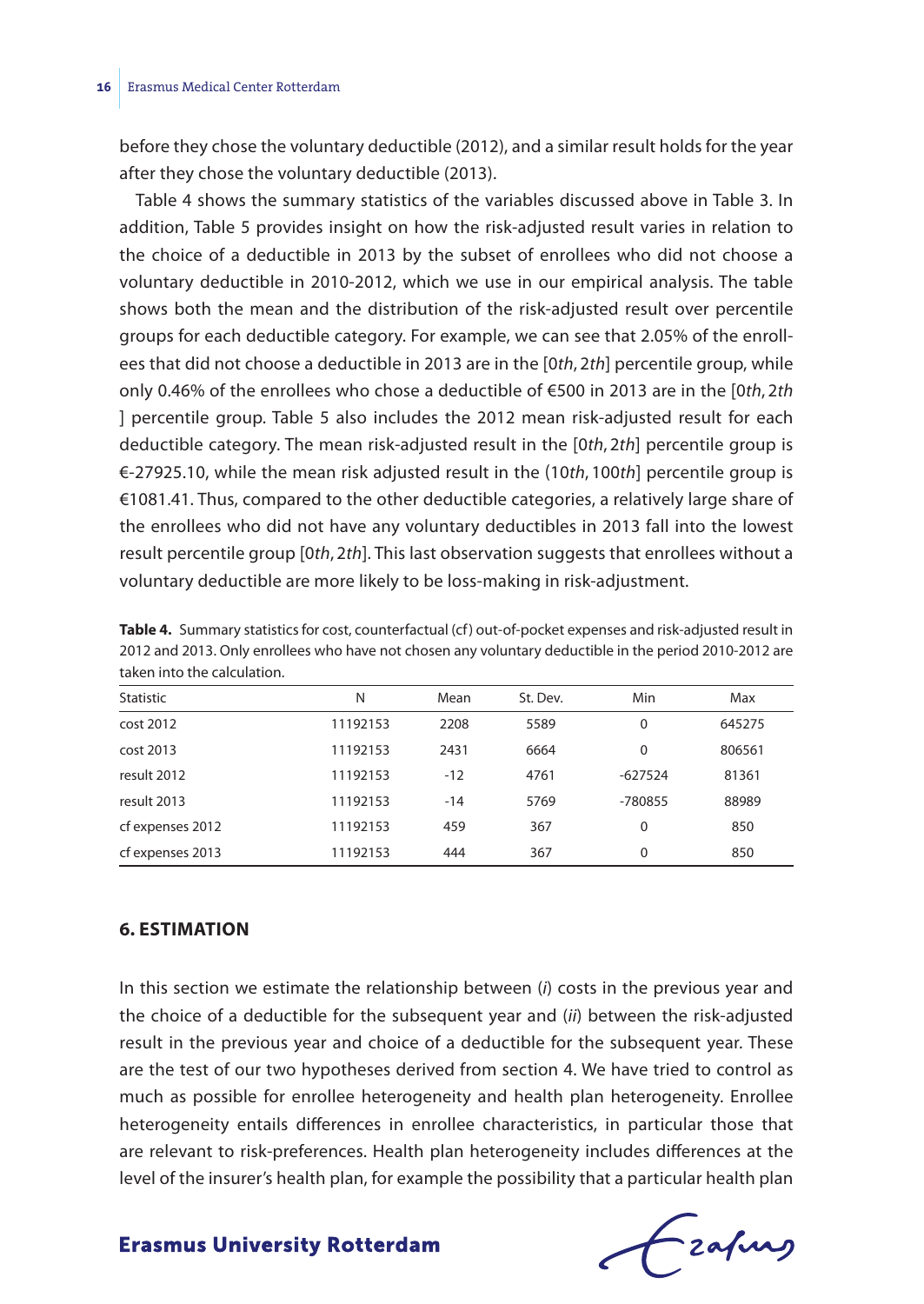before they chose the voluntary deductible (2012), and a similar result holds for the year after they chose the voluntary deductible (2013).

Table 4 shows the summary statistics of the variables discussed above in Table 3. In addition, Table 5 provides insight on how the risk-adjusted result varies in relation to the choice of a deductible in 2013 by the subset of enrollees who did not choose a voluntary deductible in 2010-2012, which we use in our empirical analysis. The table shows both the mean and the distribution of the risk-adjusted result over percentile groups for each deductible category. For example, we can see that 2.05% of the enrollees that did not choose a deductible in 2013 are in the [0*th*, 2*th*] percentile group, while only 0.46% of the enrollees who chose a deductible of €500 in 2013 are in the [0*th*, 2*th* ] percentile group. Table 5 also includes the 2012 mean risk-adjusted result for each deductible category. The mean risk-adjusted result in the [0*th*, 2*th*] percentile group is €-27925.10, while the mean risk adjusted result in the (10*th*, 100*th*] percentile group is €1081.41. Thus, compared to the other deductible categories, a relatively large share of the enrollees who did not have any voluntary deductibles in 2013 fall into the lowest result percentile group [0*th*, 2*th*]. This last observation suggests that enrollees without a voluntary deductible are more likely to be loss-making in risk-adjustment.

| taken into the calculation. |          |       |          |           |        |  |  |  |
|-----------------------------|----------|-------|----------|-----------|--------|--|--|--|
| Statistic                   | N        | Mean  | St. Dev. | Min       | Max    |  |  |  |
| cost 2012                   | 11192153 | 2208  | 5589     | 0         | 645275 |  |  |  |
| cost 2013                   | 11192153 | 2431  | 6664     | 0         | 806561 |  |  |  |
| result 2012                 | 11192153 | $-12$ | 4761     | $-627524$ | 81361  |  |  |  |
| result 2013                 | 11192153 | $-14$ | 5769     | -780855   | 88989  |  |  |  |
| cf expenses 2012            | 11192153 | 459   | 367      | 0         | 850    |  |  |  |

cf expenses 2013 11192153 444 367 0 850

**Table 4.** Summary statistics for cost, counterfactual (cf) out-of-pocket expenses and risk-adjusted result in 2012 and 2013. Only enrollees who have not chosen any voluntary deductible in the period 2010-2012 are

#### **6. ESTIMATION**

In this section we estimate the relationship between (*i*) costs in the previous year and the choice of a deductible for the subsequent year and (*ii*) between the risk-adjusted result in the previous year and choice of a deductible for the subsequent year. These are the test of our two hypotheses derived from section 4. We have tried to control as much as possible for enrollee heterogeneity and health plan heterogeneity. Enrollee heterogeneity entails differences in enrollee characteristics, in particular those that are relevant to risk-preferences. Health plan heterogeneity includes differences at the level of the insurer's health plan, for example the possibility that a particular health plan

Frahing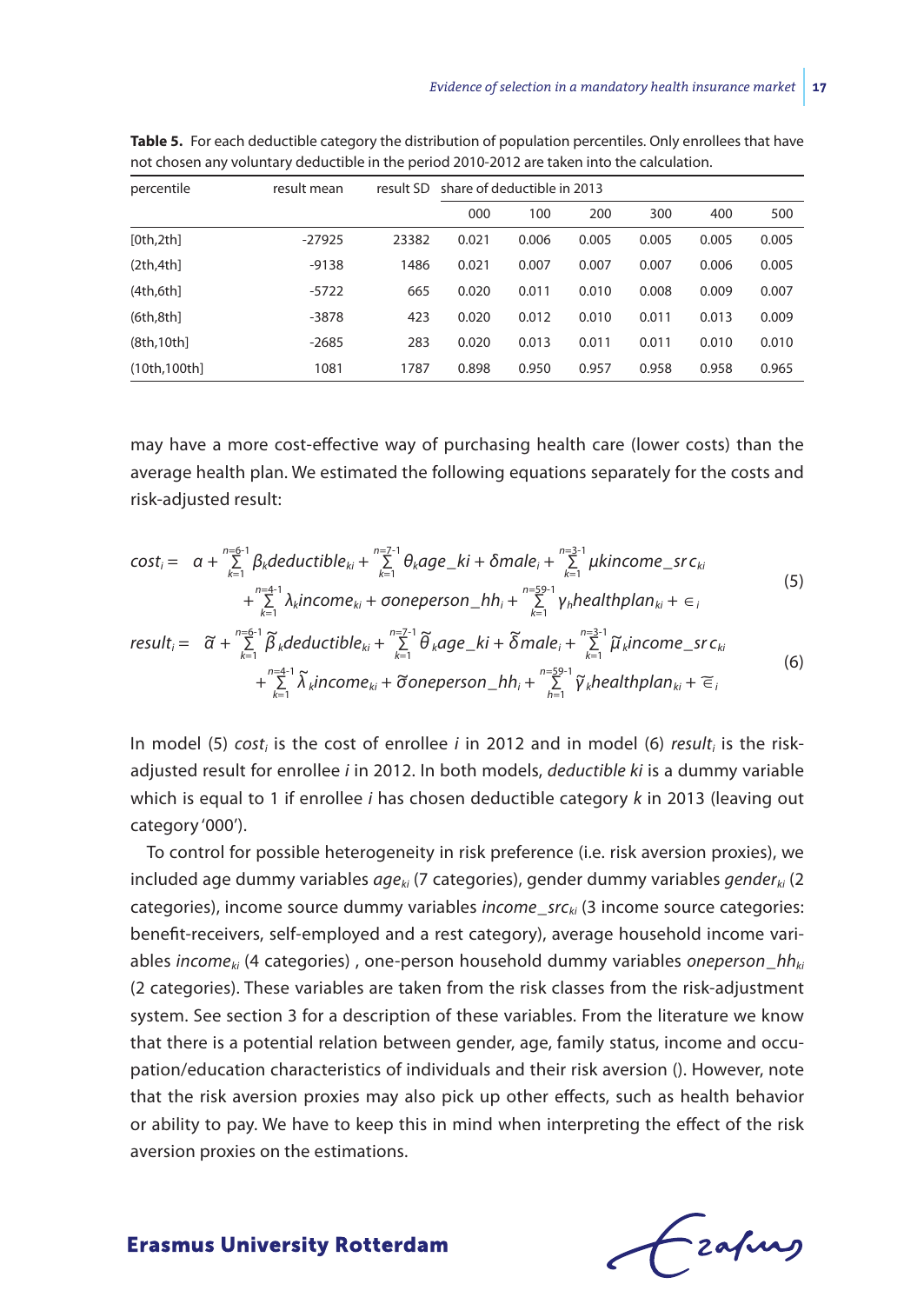| percentile   | result mean | result SD | share of deductible in 2013 |       |       |       |       |       |
|--------------|-------------|-----------|-----------------------------|-------|-------|-------|-------|-------|
|              |             |           | 000                         | 100   | 200   | 300   | 400   | 500   |
| [0th,2th]    | $-27925$    | 23382     | 0.021                       | 0.006 | 0.005 | 0.005 | 0.005 | 0.005 |
| (2th,4th)    | $-9138$     | 1486      | 0.021                       | 0.007 | 0.007 | 0.007 | 0.006 | 0.005 |
| (4th, 6th)   | $-5722$     | 665       | 0.020                       | 0.011 | 0.010 | 0.008 | 0.009 | 0.007 |
| (6th, 8th)   | -3878       | 423       | 0.020                       | 0.012 | 0.010 | 0.011 | 0.013 | 0.009 |
| (8th, 10th)  | $-2685$     | 283       | 0.020                       | 0.013 | 0.011 | 0.011 | 0.010 | 0.010 |
| (10th.100th] | 1081        | 1787      | 0.898                       | 0.950 | 0.957 | 0.958 | 0.958 | 0.965 |

**Table 5.** For each deductible category the distribution of population percentiles. Only enrollees that have not chosen any voluntary deductible in the period 2010-2012 are taken into the calculation.

may have a more cost-effective way of purchasing health care (lower costs) than the average health plan. We estimated the following equations separately for the costs and risk-adjusted result:

$$
\text{cost}_{i} = \alpha + \sum_{k=1}^{n=6-1} \beta_{k} \text{deductible}_{ki} + \sum_{k=1}^{n=7-1} \theta_{k} \text{age\_ki} + \delta \text{male}_{i} + \sum_{k=1}^{n=3-1} \mu \text{kincome\_src}_{ki} \\
+ \sum_{k=1}^{n=4-1} \lambda_{k} \text{income}_{ki} + \text{coneperson\_hh}_{i} + \sum_{k=1}^{n=59-1} \gamma_{h} \text{healthplan}_{ki} + \epsilon_{i} \\
\text{result}_{i} = \widetilde{\alpha} + \sum_{k=1}^{n=6-1} \widetilde{\beta}_{k} \text{deductible}_{ki} + \sum_{k=1}^{n=7-1} \widetilde{\theta}_{k} \text{age\_ki} + \widetilde{\delta} \text{male}_{i} + \sum_{k=1}^{n=3-1} \widetilde{\mu}_{k} \text{income\_src}_{ki} \\
+ \sum_{k=1}^{n=4-1} \widetilde{\lambda}_{k} \text{income}_{ki} + \tilde{\sigma} \text{oneperson\_hh}_{i} + \sum_{h=1}^{n=59-1} \widetilde{\gamma}_{k} \text{healthplan}_{ki} + \epsilon_{i}
$$
\n(6)

In model (5) *cost<sub>i</sub>* is the cost of enrollee *i* in 2012 and in model (6) *result<sub>i</sub>* is the riskadjusted result for enrollee *i* in 2012. In both models, *deductible ki* is a dummy variable which is equal to 1 if enrollee *i* has chosen deductible category *k* in 2013 (leaving out category '000').

To control for possible heterogeneity in risk preference (i.e. risk aversion proxies), we included age dummy variables *ageki* (7 categories), gender dummy variables *genderki* (2 categories), income source dummy variables *income*\_*srcki* (3 income source categories: benefit-receivers, self-employed and a rest category), average household income variables *incomeki* (4 categories) , one-person household dummy variables *oneperson*\_*hhki* (2 categories). These variables are taken from the risk classes from the risk-adjustment system. See section 3 for a description of these variables. From the literature we know that there is a potential relation between gender, age, family status, income and occupation/education characteristics of individuals and their risk aversion (). However, note that the risk aversion proxies may also pick up other effects, such as health behavior or ability to pay. We have to keep this in mind when interpreting the effect of the risk aversion proxies on the estimations.

**Erasmus University Rotterdam** 

+ ∑ *k*=1

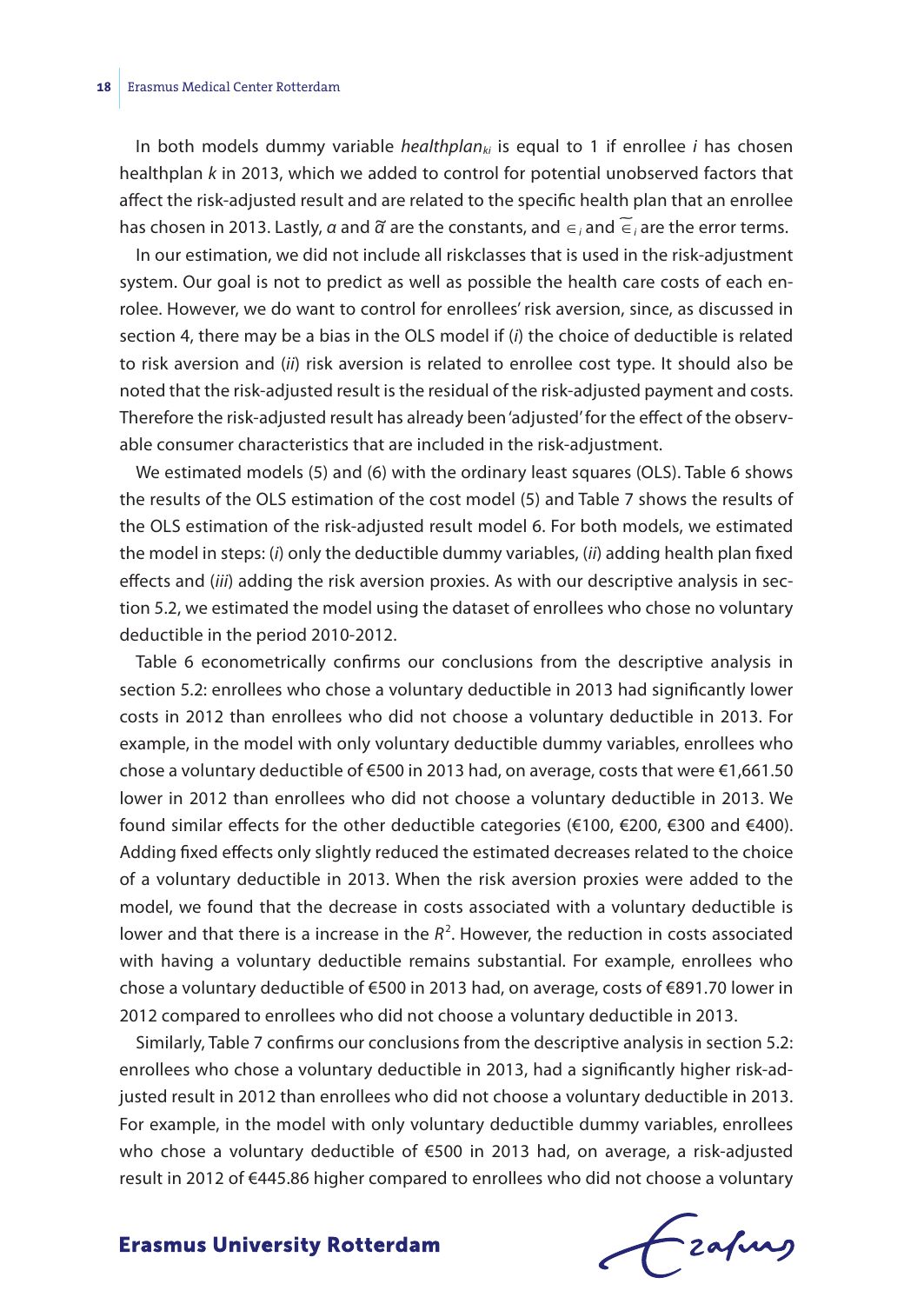In both models dummy variable *healthplan<sub>ki</sub>* is equal to 1 if enrollee *i* has chosen healthplan *k* in 2013, which we added to control for potential unobserved factors that affect the risk-adjusted result and are related to the specific health plan that an enrollee affect the risk-adjusted result and are related to the specific health plan that an enrolle⊕<br>has chosen in 2013. Lastly, *α* and *ᾶ* are the constants, and ∈<sub>*i*</sub> and <mark>∈</mark> <sub>i</sub> are the error terms.

In our estimation, we did not include all riskclasses that is used in the risk-adjustment system. Our goal is not to predict as well as possible the health care costs of each enrolee. However, we do want to control for enrollees' risk aversion, since, as discussed in section 4, there may be a bias in the OLS model if (*i*) the choice of deductible is related to risk aversion and (*ii*) risk aversion is related to enrollee cost type. It should also be noted that the risk-adjusted result is the residual of the risk-adjusted payment and costs. Therefore the risk-adjusted result has already been 'adjusted' for the effect of the observable consumer characteristics that are included in the risk-adjustment.

We estimated models (5) and (6) with the ordinary least squares (OLS). Table 6 shows the results of the OLS estimation of the cost model (5) and Table 7 shows the results of the OLS estimation of the risk-adjusted result model 6. For both models, we estimated the model in steps: (*i*) only the deductible dummy variables, (*ii*) adding health plan fixed effects and (*iii*) adding the risk aversion proxies. As with our descriptive analysis in section 5.2, we estimated the model using the dataset of enrollees who chose no voluntary deductible in the period 2010-2012.

Table 6 econometrically confirms our conclusions from the descriptive analysis in section 5.2: enrollees who chose a voluntary deductible in 2013 had significantly lower costs in 2012 than enrollees who did not choose a voluntary deductible in 2013. For example, in the model with only voluntary deductible dummy variables, enrollees who chose a voluntary deductible of €500 in 2013 had, on average, costs that were €1,661.50 lower in 2012 than enrollees who did not choose a voluntary deductible in 2013. We found similar effects for the other deductible categories (€100, €200, €300 and €400). Adding fixed effects only slightly reduced the estimated decreases related to the choice of a voluntary deductible in 2013. When the risk aversion proxies were added to the model, we found that the decrease in costs associated with a voluntary deductible is lower and that there is a increase in the  $R^2$ . However, the reduction in costs associated with having a voluntary deductible remains substantial. For example, enrollees who chose a voluntary deductible of €500 in 2013 had, on average, costs of €891.70 lower in 2012 compared to enrollees who did not choose a voluntary deductible in 2013.

Similarly, Table 7 confirms our conclusions from the descriptive analysis in section 5.2: enrollees who chose a voluntary deductible in 2013, had a significantly higher risk-adjusted result in 2012 than enrollees who did not choose a voluntary deductible in 2013. For example, in the model with only voluntary deductible dummy variables, enrollees who chose a voluntary deductible of €500 in 2013 had, on average, a risk-adjusted result in 2012 of €445.86 higher compared to enrollees who did not choose a voluntary

Frahing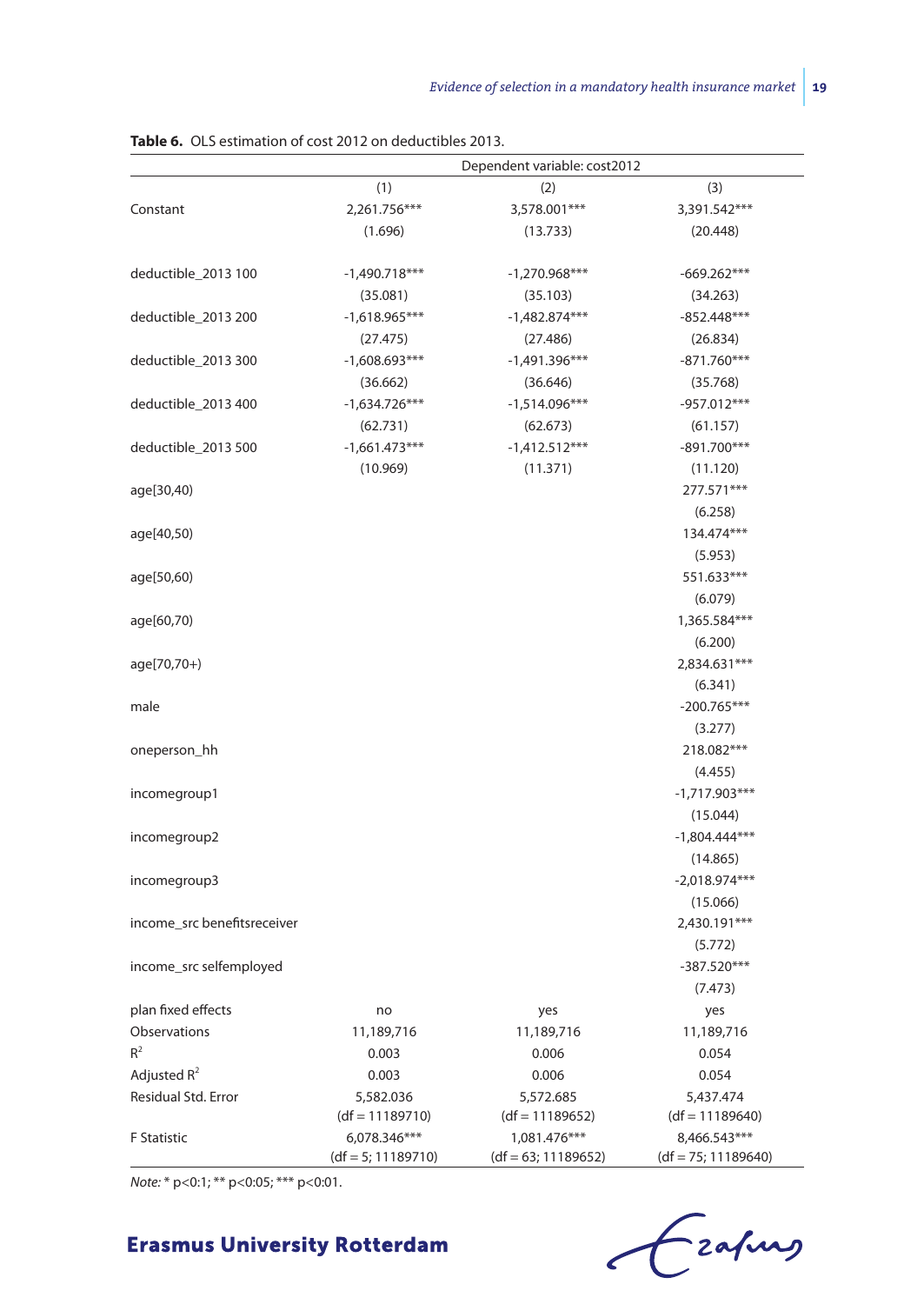|                             | Dependent variable: cost2012 |                       |                       |  |  |  |
|-----------------------------|------------------------------|-----------------------|-----------------------|--|--|--|
|                             | (1)                          | (2)                   | (3)                   |  |  |  |
| Constant                    | 2,261.756***                 | 3,578.001***          | 3,391.542***          |  |  |  |
|                             | (1.696)                      | (13.733)              | (20.448)              |  |  |  |
| deductible_2013 100         | $-1,490.718***$              | $-1,270.968***$       | $-669.262***$         |  |  |  |
|                             | (35.081)                     | (35.103)              | (34.263)              |  |  |  |
| deductible_2013 200         | $-1,618.965***$              | $-1,482.874***$       | $-852.448***$         |  |  |  |
|                             | (27.475)                     | (27.486)              | (26.834)              |  |  |  |
| deductible_2013 300         | $-1,608.693***$              | $-1,491.396***$       | $-871.760***$         |  |  |  |
|                             | (36.662)                     | (36.646)              | (35.768)              |  |  |  |
| deductible_2013 400         | $-1,634.726***$              | $-1,514.096***$       | -957.012***           |  |  |  |
|                             | (62.731)                     | (62.673)              | (61.157)              |  |  |  |
| deductible_2013 500         | $-1,661.473***$              | $-1,412.512***$       | $-891.700***$         |  |  |  |
|                             | (10.969)                     | (11.371)              | (11.120)              |  |  |  |
| age[30,40)                  |                              |                       | 277.571***            |  |  |  |
|                             |                              |                       | (6.258)               |  |  |  |
| age[40,50)                  |                              |                       | 134.474***            |  |  |  |
|                             |                              |                       | (5.953)               |  |  |  |
| age[50,60)                  |                              |                       | 551.633***            |  |  |  |
|                             |                              |                       | (6.079)               |  |  |  |
| age[60,70)                  |                              |                       | 1,365.584***          |  |  |  |
|                             |                              |                       | (6.200)               |  |  |  |
| age[70,70+)                 |                              |                       | 2,834.631***          |  |  |  |
|                             |                              |                       | (6.341)               |  |  |  |
| male                        |                              |                       | $-200.765***$         |  |  |  |
|                             |                              |                       | (3.277)               |  |  |  |
| oneperson_hh                |                              |                       | 218.082***            |  |  |  |
|                             |                              |                       | (4.455)               |  |  |  |
| incomegroup1                |                              |                       | $-1,717.903***$       |  |  |  |
|                             |                              |                       | (15.044)              |  |  |  |
| incomegroup2                |                              |                       | $-1,804.444***$       |  |  |  |
|                             |                              |                       | (14.865)              |  |  |  |
| incomegroup3                |                              |                       | $-2,018.974***$       |  |  |  |
|                             |                              |                       | (15.066)              |  |  |  |
| income_src benefitsreceiver |                              |                       | 2,430.191***          |  |  |  |
|                             |                              |                       | (5.772)               |  |  |  |
| income_src selfemployed     |                              |                       | $-387.520***$         |  |  |  |
|                             |                              |                       | (7.473)               |  |  |  |
| plan fixed effects          | no                           | yes                   | yes                   |  |  |  |
| Observations                | 11,189,716                   | 11,189,716            | 11,189,716            |  |  |  |
| $R^2$                       | 0.003                        | 0.006                 | 0.054                 |  |  |  |
| Adjusted $R^2$              | 0.003                        | 0.006                 | 0.054                 |  |  |  |
| Residual Std. Error         | 5,582.036                    | 5,572.685             | 5,437.474             |  |  |  |
|                             | $(df = 11189710)$            | $(df = 11189652)$     | $(df = 11189640)$     |  |  |  |
| <b>F</b> Statistic          | 6,078.346***                 | 1,081.476***          | 8,466.543***          |  |  |  |
|                             | $(df = 5; 11189710)$         | $(df = 63; 11189652)$ | $(df = 75; 11189640)$ |  |  |  |

**Table 6.** OLS estimation of cost 2012 on deductibles 2013.

*Note:* \* p<0:1; \*\* p<0:05; \*\*\* p<0:01.

Crafing  $\epsilon$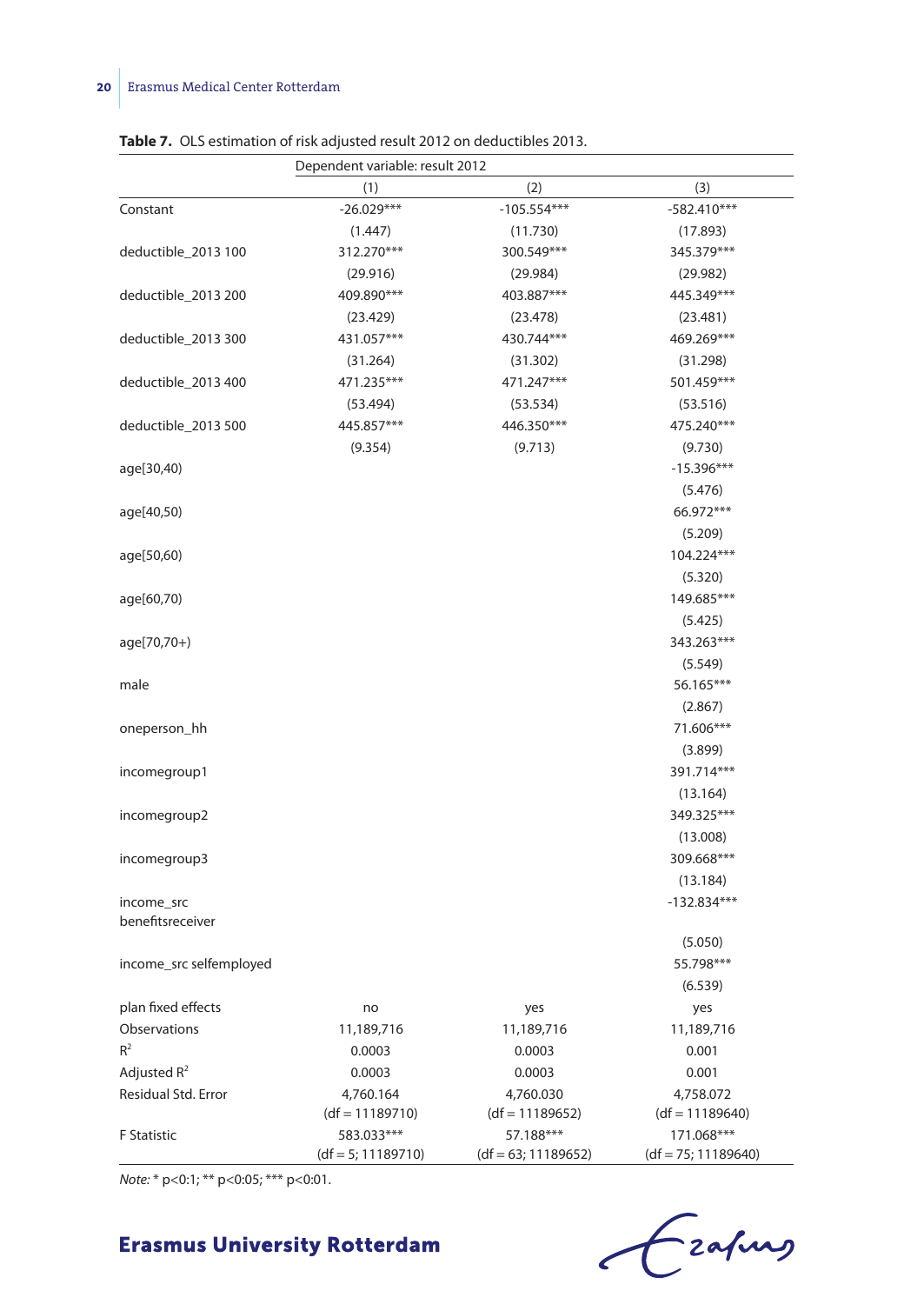|                         | Dependent variable: result 2012    |                                    |                                     |  |  |  |
|-------------------------|------------------------------------|------------------------------------|-------------------------------------|--|--|--|
|                         | (1)                                | (2)                                | (3)                                 |  |  |  |
| Constant                | $-26.029***$                       | $-105.554***$                      | $-582.410***$                       |  |  |  |
|                         | (1.447)                            | (11.730)                           | (17.893)                            |  |  |  |
| deductible_2013 100     | 312.270***                         | 300.549***                         | 345.379***                          |  |  |  |
|                         | (29.916)                           | (29.984)                           | (29.982)                            |  |  |  |
| deductible_2013 200     | 409.890***                         | 403.887***                         | 445.349***                          |  |  |  |
|                         | (23.429)                           | (23.478)                           | (23.481)                            |  |  |  |
| deductible_2013 300     | 431.057***                         | 430.744***                         | 469.269***                          |  |  |  |
|                         | (31.264)                           | (31.302)                           | (31.298)                            |  |  |  |
| deductible_2013 400     | 471.235***                         | 471.247***                         | 501.459***                          |  |  |  |
|                         | (53.494)                           | (53.534)                           | (53.516)                            |  |  |  |
| deductible_2013 500     | 445.857***                         | 446.350***                         | 475.240***                          |  |  |  |
|                         | (9.354)                            | (9.713)                            | (9.730)                             |  |  |  |
| age[30,40)              |                                    |                                    | $-15.396***$                        |  |  |  |
|                         |                                    |                                    | (5.476)                             |  |  |  |
| age[40,50)              |                                    |                                    | 66.972***                           |  |  |  |
|                         |                                    |                                    | (5.209)                             |  |  |  |
| age[50,60)              |                                    |                                    | 104.224***                          |  |  |  |
|                         |                                    |                                    | (5.320)                             |  |  |  |
| age[60,70)              |                                    |                                    | 149.685***                          |  |  |  |
|                         |                                    |                                    | (5.425)                             |  |  |  |
| age[70,70+)             |                                    |                                    | 343.263***                          |  |  |  |
|                         |                                    |                                    | (5.549)                             |  |  |  |
| male                    |                                    |                                    | 56.165***                           |  |  |  |
|                         |                                    |                                    | (2.867)                             |  |  |  |
| oneperson_hh            |                                    |                                    | 71.606***                           |  |  |  |
|                         |                                    |                                    | (3.899)                             |  |  |  |
| incomegroup1            |                                    |                                    | 391.714***                          |  |  |  |
|                         |                                    |                                    | (13.164)                            |  |  |  |
| incomegroup2            |                                    |                                    | 349.325***                          |  |  |  |
|                         |                                    |                                    | (13.008)                            |  |  |  |
| incomegroup3            |                                    |                                    | 309.668***                          |  |  |  |
|                         |                                    |                                    | (13.184)                            |  |  |  |
| income_src              |                                    |                                    | $-132.834***$                       |  |  |  |
| benefitsreceiver        |                                    |                                    |                                     |  |  |  |
|                         |                                    |                                    | (5.050)                             |  |  |  |
| income_src selfemployed |                                    |                                    | 55.798***                           |  |  |  |
|                         |                                    |                                    | (6.539)                             |  |  |  |
| plan fixed effects      | no                                 | yes                                | yes                                 |  |  |  |
| Observations            | 11,189,716                         | 11,189,716                         | 11,189,716                          |  |  |  |
| $R^2$                   | 0.0003                             | 0.0003                             | 0.001                               |  |  |  |
| Adjusted $R^2$          | 0.0003                             | 0.0003                             | 0.001                               |  |  |  |
| Residual Std. Error     | 4,760.164                          | 4,760.030                          | 4,758.072                           |  |  |  |
|                         | $(df = 11189710)$                  | $(df = 11189652)$                  | $(df = 11189640)$                   |  |  |  |
| F Statistic             | 583.033***<br>$(df = 5; 11189710)$ | 57.188***<br>$(df = 63; 11189652)$ | 171.068***<br>$(df = 75; 11189640)$ |  |  |  |

**Table 7.** OLS estimation of risk adjusted result 2012 on deductibles 2013.

*Note:* \* p<0:1; \*\* p<0:05; \*\*\* p<0:01.

Frahay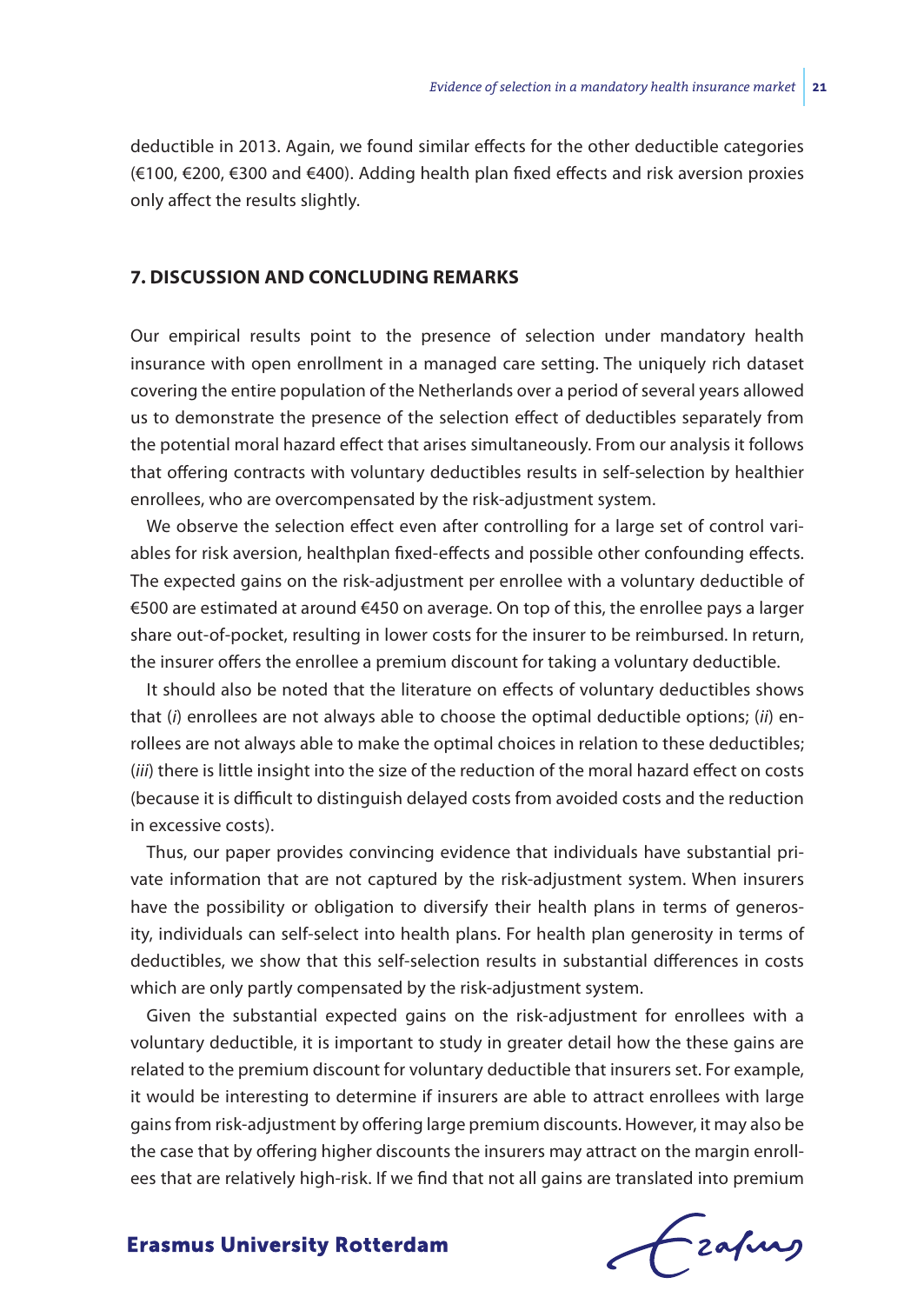deductible in 2013. Again, we found similar effects for the other deductible categories (€100, €200, €300 and €400). Adding health plan fixed effects and risk aversion proxies only affect the results slightly.

#### **7. DISCUSSION AND CONCLUDING REMARKS**

Our empirical results point to the presence of selection under mandatory health insurance with open enrollment in a managed care setting. The uniquely rich dataset covering the entire population of the Netherlands over a period of several years allowed us to demonstrate the presence of the selection effect of deductibles separately from the potential moral hazard effect that arises simultaneously. From our analysis it follows that offering contracts with voluntary deductibles results in self-selection by healthier enrollees, who are overcompensated by the risk-adjustment system.

We observe the selection effect even after controlling for a large set of control variables for risk aversion, healthplan fixed-effects and possible other confounding effects. The expected gains on the risk-adjustment per enrollee with a voluntary deductible of €500 are estimated at around €450 on average. On top of this, the enrollee pays a larger share out-of-pocket, resulting in lower costs for the insurer to be reimbursed. In return, the insurer offers the enrollee a premium discount for taking a voluntary deductible.

It should also be noted that the literature on effects of voluntary deductibles shows that (*i*) enrollees are not always able to choose the optimal deductible options; (*ii*) enrollees are not always able to make the optimal choices in relation to these deductibles; (*iii*) there is little insight into the size of the reduction of the moral hazard effect on costs (because it is difficult to distinguish delayed costs from avoided costs and the reduction in excessive costs).

Thus, our paper provides convincing evidence that individuals have substantial private information that are not captured by the risk-adjustment system. When insurers have the possibility or obligation to diversify their health plans in terms of generosity, individuals can self-select into health plans. For health plan generosity in terms of deductibles, we show that this self-selection results in substantial differences in costs which are only partly compensated by the risk-adjustment system.

Given the substantial expected gains on the risk-adjustment for enrollees with a voluntary deductible, it is important to study in greater detail how the these gains are related to the premium discount for voluntary deductible that insurers set. For example, it would be interesting to determine if insurers are able to attract enrollees with large gains from risk-adjustment by offering large premium discounts. However, it may also be the case that by offering higher discounts the insurers may attract on the margin enrollees that are relatively high-risk. If we find that not all gains are translated into premium

Czafurg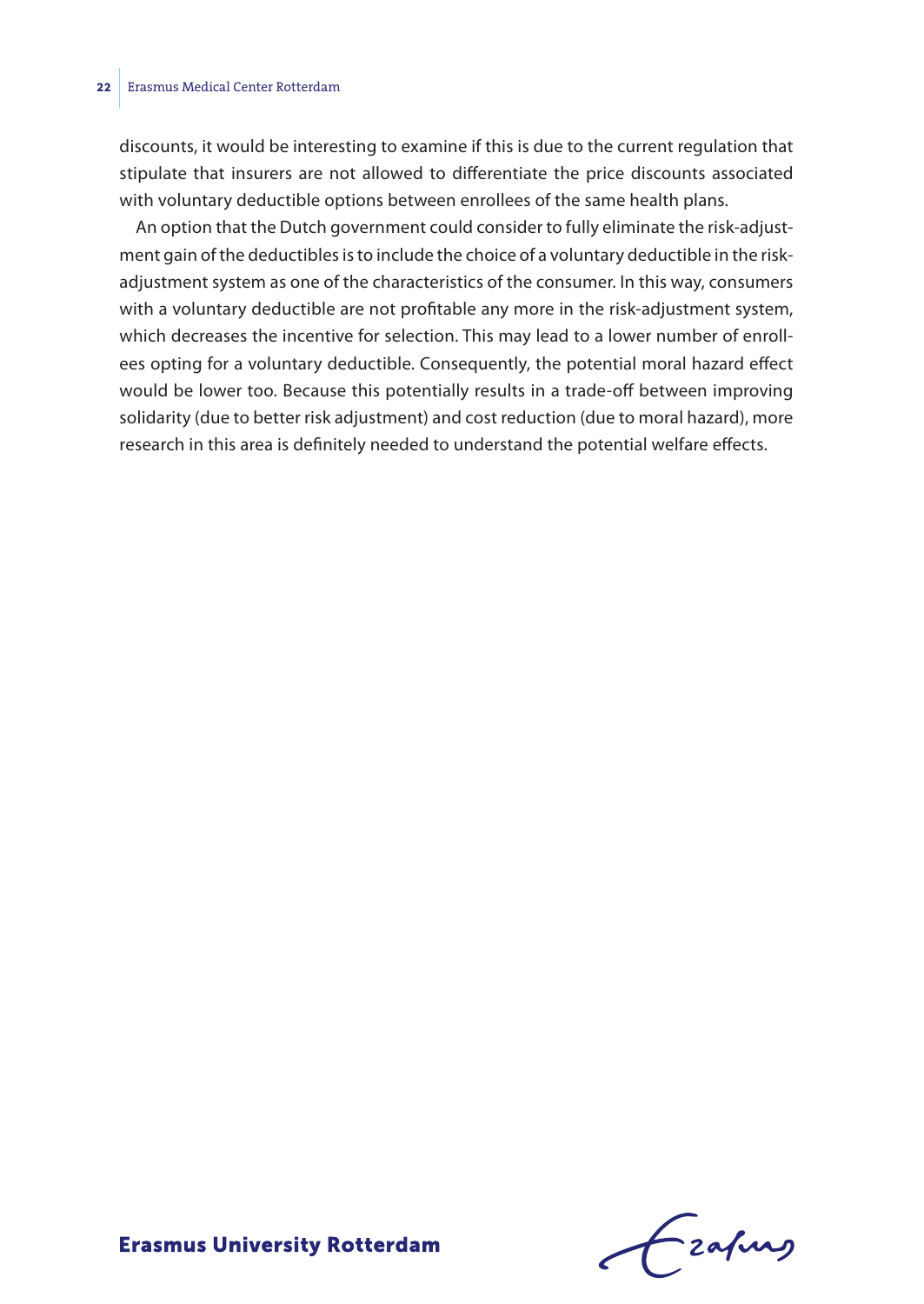discounts, it would be interesting to examine if this is due to the current regulation that stipulate that insurers are not allowed to differentiate the price discounts associated with voluntary deductible options between enrollees of the same health plans.

An option that the Dutch government could consider to fully eliminate the risk-adjustment gain of the deductibles is to include the choice of a voluntary deductible in the riskadjustment system as one of the characteristics of the consumer. In this way, consumers with a voluntary deductible are not profitable any more in the risk-adjustment system, which decreases the incentive for selection. This may lead to a lower number of enrollees opting for a voluntary deductible. Consequently, the potential moral hazard effect would be lower too. Because this potentially results in a trade-off between improving solidarity (due to better risk adjustment) and cost reduction (due to moral hazard), more research in this area is definitely needed to understand the potential welfare effects.

Frafing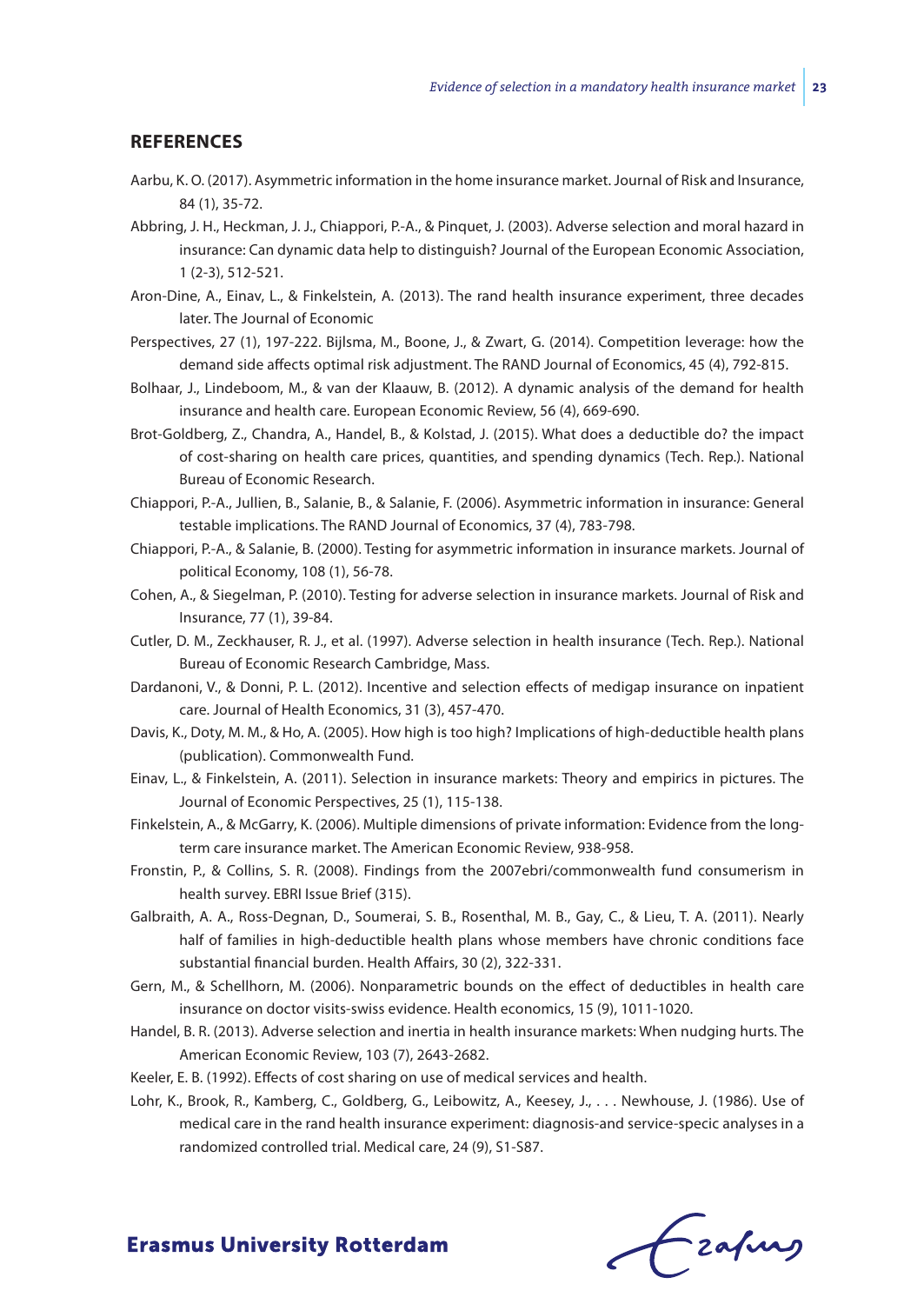#### **REFERENCES**

- Aarbu, K. O. (2017). Asymmetric information in the home insurance market. Journal of Risk and Insurance, 84 (1), 35-72.
- Abbring, J. H., Heckman, J. J., Chiappori, P.-A., & Pinquet, J. (2003). Adverse selection and moral hazard in insurance: Can dynamic data help to distinguish? Journal of the European Economic Association, 1 (2-3), 512-521.
- Aron-Dine, A., Einav, L., & Finkelstein, A. (2013). The rand health insurance experiment, three decades later. The Journal of Economic
- Perspectives, 27 (1), 197-222. Bijlsma, M., Boone, J., & Zwart, G. (2014). Competition leverage: how the demand side affects optimal risk adjustment. The RAND Journal of Economics, 45 (4), 792-815.
- Bolhaar, J., Lindeboom, M., & van der Klaauw, B. (2012). A dynamic analysis of the demand for health insurance and health care. European Economic Review, 56 (4), 669-690.
- Brot-Goldberg, Z., Chandra, A., Handel, B., & Kolstad, J. (2015). What does a deductible do? the impact of cost-sharing on health care prices, quantities, and spending dynamics (Tech. Rep.). National Bureau of Economic Research.
- Chiappori, P.-A., Jullien, B., Salanie, B., & Salanie, F. (2006). Asymmetric information in insurance: General testable implications. The RAND Journal of Economics, 37 (4), 783-798.
- Chiappori, P.-A., & Salanie, B. (2000). Testing for asymmetric information in insurance markets. Journal of political Economy, 108 (1), 56-78.
- Cohen, A., & Siegelman, P. (2010). Testing for adverse selection in insurance markets. Journal of Risk and Insurance, 77 (1), 39-84.
- Cutler, D. M., Zeckhauser, R. J., et al. (1997). Adverse selection in health insurance (Tech. Rep.). National Bureau of Economic Research Cambridge, Mass.
- Dardanoni, V., & Donni, P. L. (2012). Incentive and selection effects of medigap insurance on inpatient care. Journal of Health Economics, 31 (3), 457-470.
- Davis, K., Doty, M. M., & Ho, A. (2005). How high is too high? Implications of high-deductible health plans (publication). Commonwealth Fund.
- Einav, L., & Finkelstein, A. (2011). Selection in insurance markets: Theory and empirics in pictures. The Journal of Economic Perspectives, 25 (1), 115-138.
- Finkelstein, A., & McGarry, K. (2006). Multiple dimensions of private information: Evidence from the longterm care insurance market. The American Economic Review, 938-958.
- Fronstin, P., & Collins, S. R. (2008). Findings from the 2007ebri/commonwealth fund consumerism in health survey. EBRI Issue Brief (315).
- Galbraith, A. A., Ross-Degnan, D., Soumerai, S. B., Rosenthal, M. B., Gay, C., & Lieu, T. A. (2011). Nearly half of families in high-deductible health plans whose members have chronic conditions face substantial financial burden. Health Affairs, 30 (2), 322-331.
- Gern, M., & Schellhorn, M. (2006). Nonparametric bounds on the effect of deductibles in health care insurance on doctor visits-swiss evidence. Health economics, 15 (9), 1011-1020.
- Handel, B. R. (2013). Adverse selection and inertia in health insurance markets: When nudging hurts. The American Economic Review, 103 (7), 2643-2682.
- Keeler, E. B. (1992). Effects of cost sharing on use of medical services and health.
- Lohr, K., Brook, R., Kamberg, C., Goldberg, G., Leibowitz, A., Keesey, J., . . . Newhouse, J. (1986). Use of medical care in the rand health insurance experiment: diagnosis-and service-specic analyses in a randomized controlled trial. Medical care, 24 (9), S1-S87.

Frahing